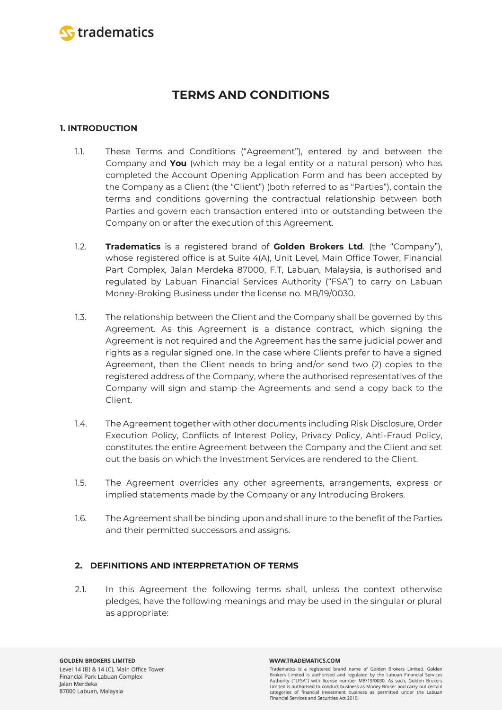

# **TERMS AND CONDITIONS**

# **1. INTRODUCTION**

- 1.1. These Terms and Conditions ("Agreement"), entered by and between the Company and **You** (which may be a legal entity or a natural person) who has completed the Account Opening Application Form and has been accepted by the Company as a Client (the "Client") (both referred to as "Parties"), contain the terms and conditions governing the contractual relationship between both Parties and govern each transaction entered into or outstanding between the Company on or after the execution of this Agreement.
- 1.2. **Tradematics** is a registered brand of **Golden Brokers Ltd**. (the "Company"), whose registered office is at Suite 4(A), Unit Level, Main Office Tower, Financial Part Complex, Jalan Merdeka 87000, F.T, Labuan, Malaysia, is authorised and regulated by Labuan Financial Services Authority ("FSA") to carry on Labuan Money-Broking Business under the license no. MB/19/0030.
- 1.3. The relationship between the Client and the Company shall be governed by this Agreement. As this Agreement is a distance contract, which signing the Agreement is not required and the Agreement has the same judicial power and rights as a regular signed one. In the case where Clients prefer to have a signed Agreement, then the Client needs to bring and/or send two (2) copies to the registered address of the Company, where the authorised representatives of the Company will sign and stamp the Agreements and send a copy back to the Client.
- 1.4. The Agreement together with other documents including Risk Disclosure, Order Execution Policy, Conflicts of Interest Policy, Privacy Policy, Anti-Fraud Policy, constitutes the entire Agreement between the Company and the Client and set out the basis on which the Investment Services are rendered to the Client.
- 1.5. The Agreement overrides any other agreements, arrangements, express or implied statements made by the Company or any Introducing Brokers.
- 1.6. The Agreement shall be binding upon and shall inure to the benefit of the Parties and their permitted successors and assigns.

# **2. DEFINITIONS AND INTERPRETATION OF TERMS**

2.1. In this Agreement the following terms shall, unless the context otherwise pledges, have the following meanings and may be used in the singular or plural as appropriate: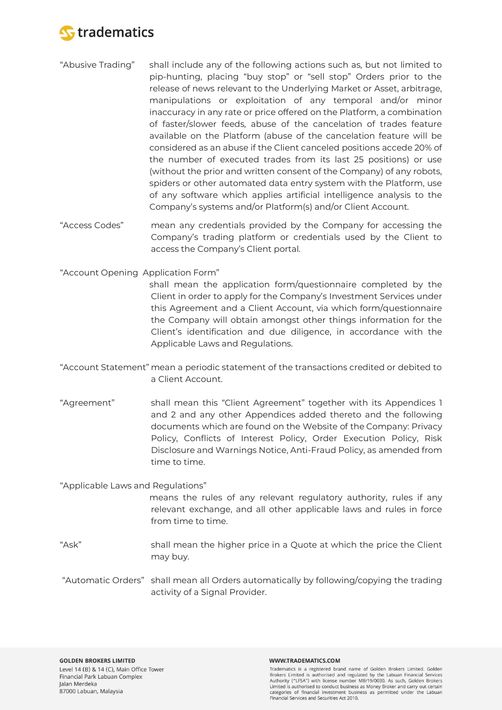

- "Abusive Trading" shall include any of the following actions such as, but not limited to pip-hunting, placing "buy stop" or "sell stop" Orders prior to the release of news relevant to the Underlying Market or Asset, arbitrage, manipulations or exploitation of any temporal and/or minor inaccuracy in any rate or price offered on the Platform, a combination of faster/slower feeds, abuse of the cancelation of trades feature available on the Platform (abuse of the cancelation feature will be considered as an abuse if the Client canceled positions accede 20% of the number of executed trades from its last 25 positions) or use (without the prior and written consent of the Company) of any robots, spiders or other automated data entry system with the Platform, use of any software which applies artificial intelligence analysis to the Company's systems and/or Platform(s) and/or Client Account.
- "Access Codes" mean any credentials provided by the Company for accessing the Company's trading platform or credentials used by the Client to access the Company's Client portal.

"Account Opening Application Form"

shall mean the application form/questionnaire completed by the Client in order to apply for the Company's Investment Services under this Agreement and a Client Account, via which form/questionnaire the Company will obtain amongst other things information for the Client's identification and due diligence, in accordance with the Applicable Laws and Regulations.

- "Account Statement" mean a periodic statement of the transactions credited or debited to a Client Account.
- "Agreement" shall mean this "Client Agreement" together with its Appendices 1 and 2 and any other Appendices added thereto and the following documents which are found on the Website of the Company: Privacy Policy, Conflicts of Interest Policy, Order Execution Policy, Risk Disclosure and Warnings Notice, Anti-Fraud Policy, as amended from time to time.

"Applicable Laws and Regulations"

means the rules of any relevant regulatory authority, rules if any relevant exchange, and all other applicable laws and rules in force from time to time.

- "Ask" shall mean the higher price in a Quote at which the price the Client may buy.
- "Automatic Orders" shall mean all Orders automatically by following/copying the trading activity of a Signal Provider.

#### WWW.TRADEMATICS.COM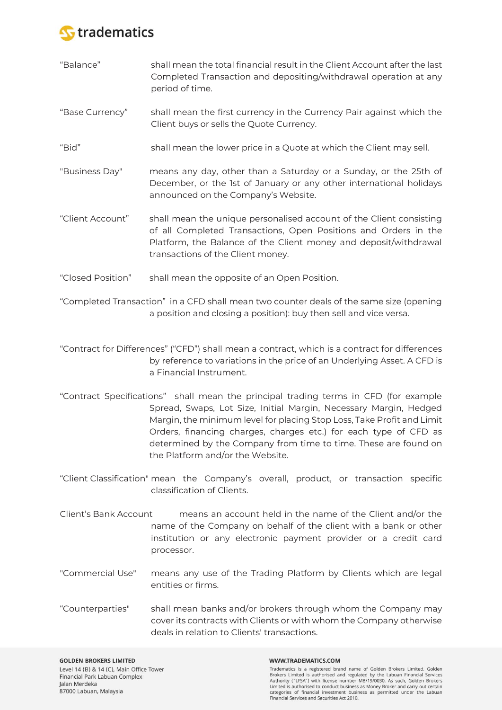

- "Balance" shall mean the total financial result in the Client Account after the last Completed Transaction and depositing/withdrawal operation at any period of time.
- "Base Currency" shall mean the first currency in the Currency Pair against which the Client buys or sells the Quote Currency.
- "Bid" shall mean the lower price in a Quote at which the Client may sell.
- "Business Day" means any day, other than a Saturday or a Sunday, or the 25th of December, or the 1st of January or any other international holidays announced on the Company's Website.
- "Client Account" shall mean the unique personalised account of the Client consisting of all Completed Transactions, Open Positions and Orders in the Platform, the Balance of the Client money and deposit/withdrawal transactions of the Client money.
- "Closed Position" shall mean the opposite of an Open Position.
- "Completed Transaction" in a CFD shall mean two counter deals of the same size (opening a position and closing a position): buy then sell and vice versa.
- "Contract for Differences" ("CFD") shall mean a contract, which is a contract for differences by reference to variations in the price of an Underlying Asset. A CFD is a Financial Instrument.
- "Contract Specifications" shall mean the principal trading terms in CFD (for example Spread, Swaps, Lot Size, Initial Margin, Necessary Margin, Hedged Margin, the minimum level for placing Stop Loss, Take Profit and Limit Orders, financing charges, charges etc.) for each type of CFD as determined by the Company from time to time. These are found on the Platform and/or the Website.
- "Client Classification" mean the Company's overall, product, or transaction specific classification of Clients.
- Client's Bank Account means an account held in the name of the Client and/or the name of the Company on behalf of the client with a bank or other institution or any electronic payment provider or a credit card processor.
- "Commercial Use" means any use of the Trading Platform by Clients which are legal entities or firms.
- "Counterparties" shall mean banks and/or brokers through whom the Company may cover its contracts with Clients or with whom the Company otherwise deals in relation to Clients' transactions.

#### WWW.TRADEMATICS.COM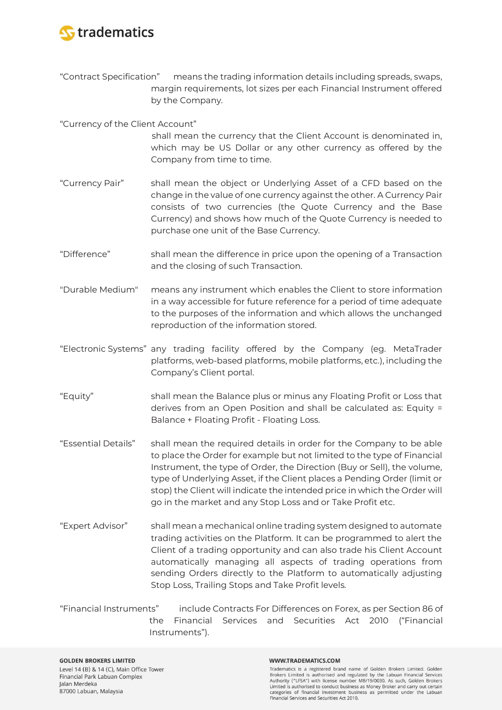

"Contract Specification" means the trading information details including spreads, swaps, margin requirements, lot sizes per each Financial Instrument offered by the Company.

"Currency of the Client Account"

- shall mean the currency that the Client Account is denominated in, which may be US Dollar or any other currency as offered by the Company from time to time.
- "Currency Pair" shall mean the object or Underlying Asset of a CFD based on the change in the value of one currency against the other. A Currency Pair consists of two currencies (the Quote Currency and the Base Currency) and shows how much of the Quote Currency is needed to purchase one unit of the Base Currency.
- "Difference" shall mean the difference in price upon the opening of a Transaction and the closing of such Transaction.
- "Durable Medium" means any instrument which enables the Client to store information in a way accessible for future reference for a period of time adequate to the purposes of the information and which allows the unchanged reproduction of the information stored.
- "Electronic Systems" any trading facility offered by the Company (eg. MetaTrader platforms, web-based platforms, mobile platforms, etc.), including the Company's Client portal.
- "Equity" shall mean the Balance plus or minus any Floating Profit or Loss that derives from an Open Position and shall be calculated as: Equity = Balance + Floating Profit - Floating Loss.
- "Essential Details" shall mean the required details in order for the Company to be able to place the Order for example but not limited to the type of Financial Instrument, the type of Order, the Direction (Buy or Sell), the volume, type of Underlying Asset, if the Client places a Pending Order (limit or stop) the Client will indicate the intended price in which the Order will go in the market and any Stop Loss and or Take Profit etc.
- "Expert Advisor" shall mean a mechanical online trading system designed to automate trading activities on the Platform. It can be programmed to alert the Client of a trading opportunity and can also trade his Client Account automatically managing all aspects of trading operations from sending Orders directly to the Platform to automatically adjusting Stop Loss, Trailing Stops and Take Profit levels.
- "Financial Instruments" include Contracts For Differences on Forex, as per Section 86 of the Financial Services and Securities Act 2010 ("Financial Instruments").

#### **GOLDEN BROKERS LIMITED** Level 14 (B) & 14 (C), Main Office Tower Financial Park Labuan Complex Jalan Merdeka 87000 Labuan, Malaysia

#### WWW.TRADEMATICS.COM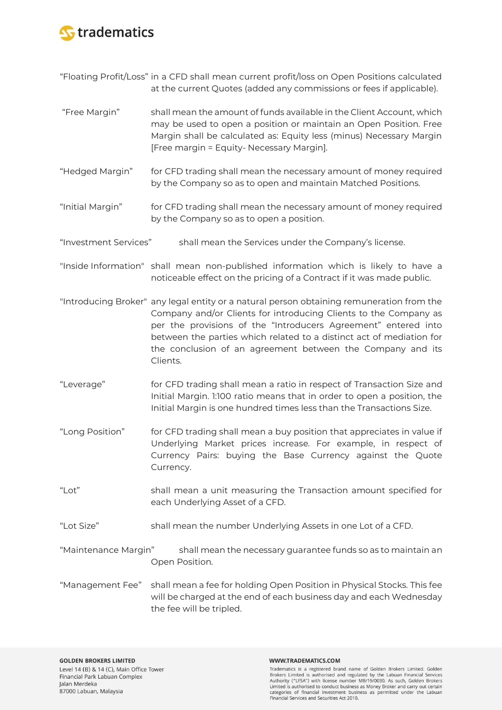

"Floating Profit/Loss" in a CFD shall mean current profit/loss on Open Positions calculated at the current Quotes (added any commissions or fees if applicable).

- "Free Margin" shall mean the amount of funds available in the Client Account, which may be used to open a position or maintain an Open Position. Free Margin shall be calculated as: Equity less (minus) Necessary Margin [Free margin = Equity- Necessary Margin].
- "Hedged Margin" for CFD trading shall mean the necessary amount of money required by the Company so as to open and maintain Matched Positions.
- "Initial Margin" for CFD trading shall mean the necessary amount of money required by the Company so as to open a position.
- "Investment Services" shall mean the Services under the Company's license.
- "Inside Information" shall mean non-published information which is likely to have a noticeable effect on the pricing of a Contract if it was made public.
- "Introducing Broker" any legal entity or a natural person obtaining remuneration from the Company and/or Clients for introducing Clients to the Company as per the provisions of the "Introducers Agreement" entered into between the parties which related to a distinct act of mediation for the conclusion of an agreement between the Company and its Clients.
- "Leverage" for CFD trading shall mean a ratio in respect of Transaction Size and Initial Margin. 1:100 ratio means that in order to open a position, the Initial Margin is one hundred times less than the Transactions Size.
- "Long Position" for CFD trading shall mean a buy position that appreciates in value if Underlying Market prices increase. For example, in respect of Currency Pairs: buying the Base Currency against the Quote Currency.
- "Lot" shall mean a unit measuring the Transaction amount specified for each Underlying Asset of a CFD.
- "Lot Size" shall mean the number Underlying Assets in one Lot of a CFD.
- "Maintenance Margin" shall mean the necessary guarantee funds so as to maintain an Open Position.
- "Management Fee" shall mean a fee for holding Open Position in Physical Stocks. This fee will be charged at the end of each business day and each Wednesday the fee will be tripled.

#### WWW.TRADEMATICS.COM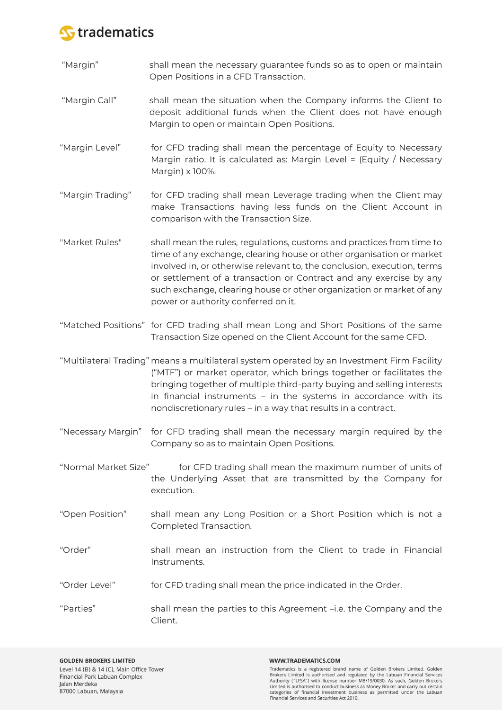

- "Margin" shall mean the necessary guarantee funds so as to open or maintain Open Positions in a CFD Transaction.
- "Margin Call" shall mean the situation when the Company informs the Client to deposit additional funds when the Client does not have enough Margin to open or maintain Open Positions.
- "Margin Level" for CFD trading shall mean the percentage of Equity to Necessary Margin ratio. It is calculated as: Margin Level = (Equity / Necessary Margin) x 100%.
- "Margin Trading" for CFD trading shall mean Leverage trading when the Client may make Transactions having less funds on the Client Account in comparison with the Transaction Size.
- "Market Rules" shall mean the rules, regulations, customs and practices from time to time of any exchange, clearing house or other organisation or market involved in, or otherwise relevant to, the conclusion, execution, terms or settlement of a transaction or Contract and any exercise by any such exchange, clearing house or other organization or market of any power or authority conferred on it.
- "Matched Positions" for CFD trading shall mean Long and Short Positions of the same Transaction Size opened on the Client Account for the same CFD.
- "Multilateral Trading" means a multilateral system operated by an Investment Firm Facility ("MTF") or market operator, which brings together or facilitates the bringing together of multiple third-party buying and selling interests in financial instruments – in the systems in accordance with its nondiscretionary rules – in a way that results in a contract.
- "Necessary Margin" for CFD trading shall mean the necessary margin required by the Company so as to maintain Open Positions.
- "Normal Market Size" for CFD trading shall mean the maximum number of units of the Underlying Asset that are transmitted by the Company for execution.
- "Open Position" shall mean any Long Position or a Short Position which is not a Completed Transaction.
- "Order" shall mean an instruction from the Client to trade in Financial Instruments.
- "Order Level" for CFD trading shall mean the price indicated in the Order.
- "Parties" shall mean the parties to this Agreement –i.e. the Company and the Client.

#### WWW.TRADEMATICS.COM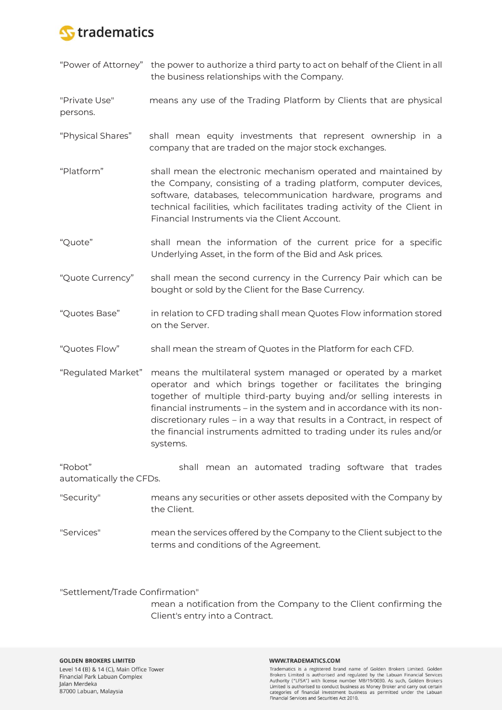

| "Power of Attorney"                | the power to authorize a third party to act on behalf of the Client in all<br>the business relationships with the Company.                                                                                                                                                                                                                                                                                                                      |
|------------------------------------|-------------------------------------------------------------------------------------------------------------------------------------------------------------------------------------------------------------------------------------------------------------------------------------------------------------------------------------------------------------------------------------------------------------------------------------------------|
| "Private Use"<br>persons.          | means any use of the Trading Platform by Clients that are physical                                                                                                                                                                                                                                                                                                                                                                              |
| "Physical Shares"                  | shall mean equity investments that represent ownership in a<br>company that are traded on the major stock exchanges.                                                                                                                                                                                                                                                                                                                            |
| "Platform"                         | shall mean the electronic mechanism operated and maintained by<br>the Company, consisting of a trading platform, computer devices,<br>software, databases, telecommunication hardware, programs and<br>technical facilities, which facilitates trading activity of the Client in<br>Financial Instruments via the Client Account.                                                                                                               |
| "Quote"                            | shall mean the information of the current price for a specific<br>Underlying Asset, in the form of the Bid and Ask prices.                                                                                                                                                                                                                                                                                                                      |
| "Quote Currency"                   | shall mean the second currency in the Currency Pair which can be<br>bought or sold by the Client for the Base Currency.                                                                                                                                                                                                                                                                                                                         |
| "Quotes Base"                      | in relation to CFD trading shall mean Quotes Flow information stored<br>on the Server.                                                                                                                                                                                                                                                                                                                                                          |
| "Quotes Flow"                      | shall mean the stream of Quotes in the Platform for each CFD.                                                                                                                                                                                                                                                                                                                                                                                   |
| "Regulated Market"                 | means the multilateral system managed or operated by a market<br>operator and which brings together or facilitates the bringing<br>together of multiple third-party buying and/or selling interests in<br>financial instruments - in the system and in accordance with its non-<br>discretionary rules - in a way that results in a Contract, in respect of<br>the financial instruments admitted to trading under its rules and/or<br>systems. |
| "Robot"<br>automatically the CFDs. | shall mean an automated trading software that trades                                                                                                                                                                                                                                                                                                                                                                                            |
| "Security"                         | means any securities or other assets deposited with the Company by<br>the Client.                                                                                                                                                                                                                                                                                                                                                               |

"Services" mean the services offered by the Company to the Client subject to the terms and conditions of the Agreement.

"Settlement/Trade Confirmation"

mean a notification from the Company to the Client confirming the Client's entry into a Contract.

#### WWW.TRADEMATICS.COM

**Tradematics is a registered brand name of Golden Brokers Limited. Golden Brokers Limited is authorised and regulated by the Labuan Financial Services Authority ("LFSA") with license number MB/19/0030. As such, Golden Brok**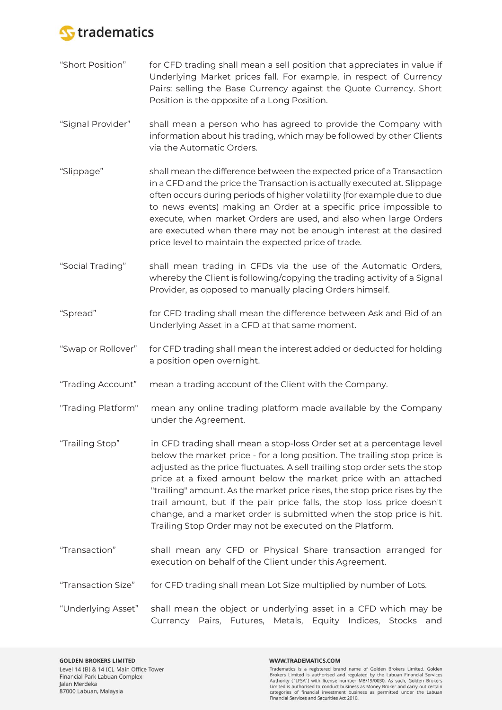

- "Short Position" for CFD trading shall mean a sell position that appreciates in value if Underlying Market prices fall. For example, in respect of Currency Pairs: selling the Base Currency against the Quote Currency. Short Position is the opposite of a Long Position.
- "Signal Provider" shall mean a person who has agreed to provide the Company with information about his trading, which may be followed by other Clients via the Automatic Orders.
- "Slippage" shall mean the difference between the expected price of a Transaction in a CFD and the price the Transaction is actually executed at. Slippage often occurs during periods of higher volatility (for example due to due to news events) making an Order at a specific price impossible to execute, when market Orders are used, and also when large Orders are executed when there may not be enough interest at the desired price level to maintain the expected price of trade.
- "Social Trading" shall mean trading in CFDs via the use of the Automatic Orders, whereby the Client is following/copying the trading activity of a Signal Provider, as opposed to manually placing Orders himself.
- "Spread" for CFD trading shall mean the difference between Ask and Bid of an Underlying Asset in a CFD at that same moment.
- "Swap or Rollover" for CFD trading shall mean the interest added or deducted for holding a position open overnight.
- "Trading Account" mean a trading account of the Client with the Company.
- "Trading Platform" mean any online trading platform made available by the Company under the Agreement.
- "Trailing Stop" in CFD trading shall mean a stop-loss Order set at a percentage level below the market price - for a long position. The trailing stop price is adjusted as the price fluctuates. A sell trailing stop order sets the stop price at a fixed amount below the market price with an attached "trailing" amount. As the market price rises, the stop price rises by the trail amount, but if the pair price falls, the stop loss price doesn't change, and a market order is submitted when the stop price is hit. Trailing Stop Order may not be executed on the Platform.
- "Transaction" shall mean any CFD or Physical Share transaction arranged for execution on behalf of the Client under this Agreement.
- "Transaction Size" for CFD trading shall mean Lot Size multiplied by number of Lots.
- "Underlying Asset" shall mean the object or underlying asset in a CFD which may be Currency Pairs, Futures, Metals, Equity Indices, Stocks and

#### WWW.TRADEMATICS.COM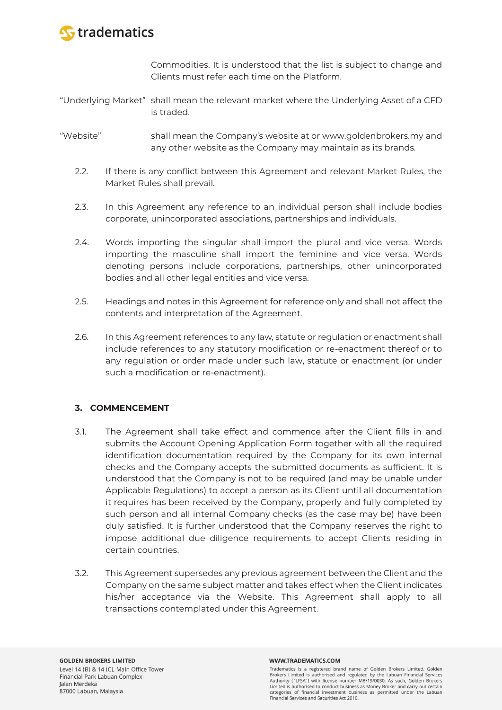

Commodities. It is understood that the list is subject to change and Clients must refer each time on the Platform.

- "Underlying Market" shall mean the relevant market where the Underlying Asset of a CFD is traded.
- "Website" shall mean the Company's website at or www.goldenbrokers.my and any other website as the Company may maintain as its brands.
	- 2.2. If there is any conflict between this Agreement and relevant Market Rules, the Market Rules shall prevail.
	- 2.3. In this Agreement any reference to an individual person shall include bodies corporate, unincorporated associations, partnerships and individuals.
	- 2.4. Words importing the singular shall import the plural and vice versa. Words importing the masculine shall import the feminine and vice versa. Words denoting persons include corporations, partnerships, other unincorporated bodies and all other legal entities and vice versa.
	- 2.5. Headings and notes in this Agreement for reference only and shall not affect the contents and interpretation of the Agreement.
	- 2.6. In this Agreement references to any law, statute or regulation or enactment shall include references to any statutory modification or re-enactment thereof or to any regulation or order made under such law, statute or enactment (or under such a modification or re-enactment).

# **3. COMMENCEMENT**

- 3.1. The Agreement shall take effect and commence after the Client fills in and submits the Account Opening Application Form together with all the required identification documentation required by the Company for its own internal checks and the Company accepts the submitted documents as sufficient. It is understood that the Company is not to be required (and may be unable under Applicable Regulations) to accept a person as its Client until all documentation it requires has been received by the Company, properly and fully completed by such person and all internal Company checks (as the case may be) have been duly satisfied. It is further understood that the Company reserves the right to impose additional due diligence requirements to accept Clients residing in certain countries.
- 3.2. This Agreement supersedes any previous agreement between the Client and the Company on the same subject matter and takes effect when the Client indicates his/her acceptance via the Website. This Agreement shall apply to all transactions contemplated under this Agreement.

#### WWW.TRADEMATICS.COM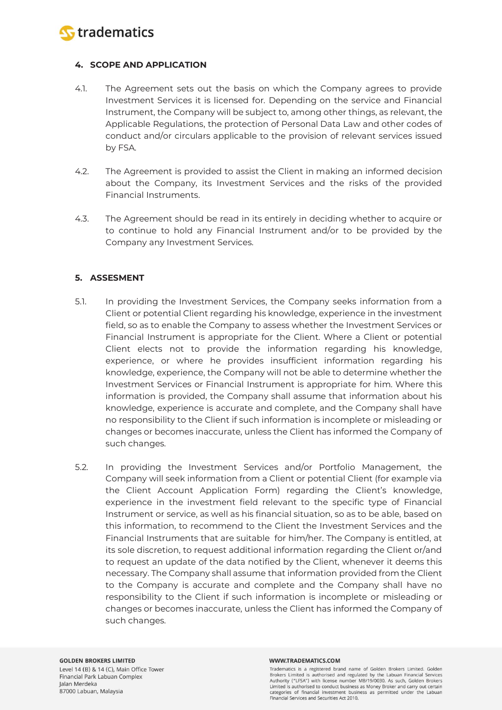

# **4. SCOPE AND APPLICATION**

- 4.1. The Agreement sets out the basis on which the Company agrees to provide Investment Services it is licensed for. Depending on the service and Financial Instrument, the Company will be subject to, among other things, as relevant, the Applicable Regulations, the protection of Personal Data Law and other codes of conduct and/or circulars applicable to the provision of relevant services issued by FSA.
- 4.2. The Agreement is provided to assist the Client in making an informed decision about the Company, its Investment Services and the risks of the provided Financial Instruments.
- 4.3. The Agreement should be read in its entirely in deciding whether to acquire or to continue to hold any Financial Instrument and/or to be provided by the Company any Investment Services.

# **5. ASSESMENT**

- 5.1. In providing the Investment Services, the Company seeks information from a Client or potential Client regarding his knowledge, experience in the investment field, so as to enable the Company to assess whether the Investment Services or Financial Instrument is appropriate for the Client. Where a Client or potential Client elects not to provide the information regarding his knowledge, experience, or where he provides insufficient information regarding his knowledge, experience, the Company will not be able to determine whether the Investment Services or Financial Instrument is appropriate for him. Where this information is provided, the Company shall assume that information about his knowledge, experience is accurate and complete, and the Company shall have no responsibility to the Client if such information is incomplete or misleading or changes or becomes inaccurate, unless the Client has informed the Company of such changes.
- 5.2. In providing the Investment Services and/or Portfolio Management, the Company will seek information from a Client or potential Client (for example via the Client Account Application Form) regarding the Client's knowledge, experience in the investment field relevant to the specific type of Financial Instrument or service, as well as his financial situation, so as to be able, based on this information, to recommend to the Client the Investment Services and the Financial Instruments that are suitable for him/her. The Company is entitled, at its sole discretion, to request additional information regarding the Client or/and to request an update of the data notified by the Client, whenever it deems this necessary. The Company shall assume that information provided from the Client to the Company is accurate and complete and the Company shall have no responsibility to the Client if such information is incomplete or misleading or changes or becomes inaccurate, unless the Client has informed the Company of such changes.

#### WWW.TRADEMATICS.COM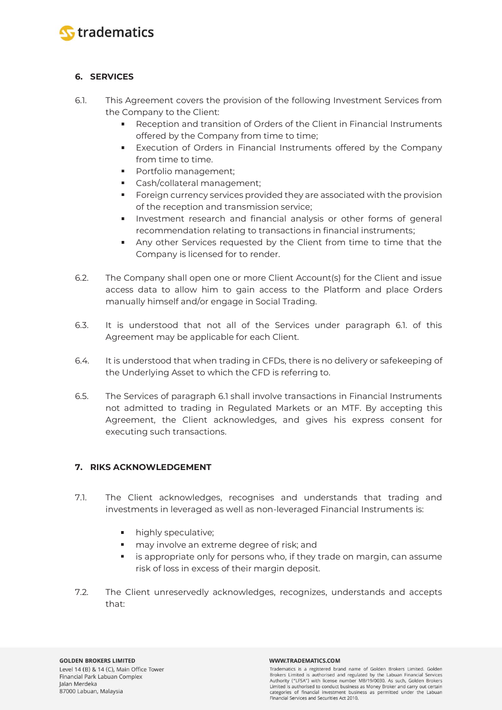

# **6. SERVICES**

- 6.1. This Agreement covers the provision of the following Investment Services from the Company to the Client:
	- Reception and transition of Orders of the Client in Financial Instruments  $\mathbf{u} = \mathbf{u}$ offered by the Company from time to time;
	- Execution of Orders in Financial Instruments offered by the Company from time to time.
	- **Portfolio management;**
	- Cash/collateral management;
	- Foreign currency services provided they are associated with the provision of the reception and transmission service;
	- **Investment research and financial analysis or other forms of general** recommendation relating to transactions in financial instruments;
	- Any other Services requested by the Client from time to time that the Company is licensed for to render.
- 6.2. The Company shall open one or more Client Account(s) for the Client and issue access data to allow him to gain access to the Platform and place Orders manually himself and/or engage in Social Trading.
- 6.3. It is understood that not all of the Services under paragraph 6.1. of this Agreement may be applicable for each Client.
- 6.4. It is understood that when trading in CFDs, there is no delivery or safekeeping of the Underlying Asset to which the CFD is referring to.
- 6.5. The Services of paragraph 6.1 shall involve transactions in Financial Instruments not admitted to trading in Regulated Markets or an MTF. By accepting this Agreement, the Client acknowledges, and gives his express consent for executing such transactions.

# **7. RIKS ACKNOWLEDGEMENT**

- 7.1. The Client acknowledges, recognises and understands that trading and investments in leveraged as well as non-leveraged Financial Instruments is:
	- $\blacksquare$ highly speculative;
	- may involve an extreme degree of risk; and
	- is appropriate only for persons who, if they trade on margin, can assume risk of loss in excess of their margin deposit.
- 7.2. The Client unreservedly acknowledges, recognizes, understands and accepts that:

#### WWW.TRADEMATICS.COM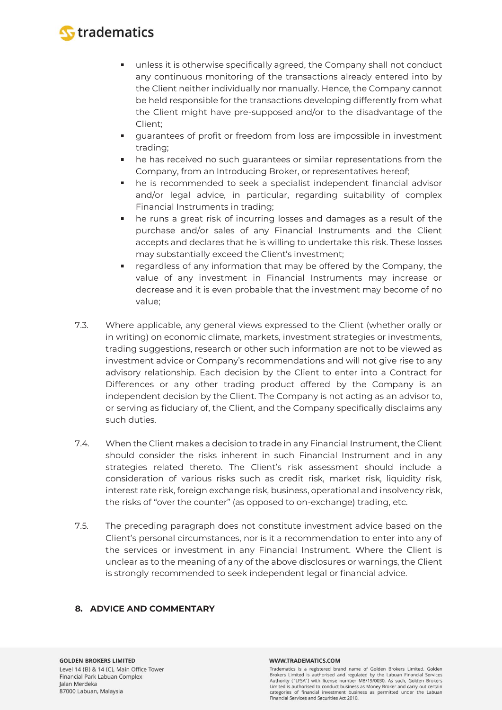

- unless it is otherwise specifically agreed, the Company shall not conduct  $\blacksquare$ any continuous monitoring of the transactions already entered into by the Client neither individually nor manually. Hence, the Company cannot be held responsible for the transactions developing differently from what the Client might have pre-supposed and/or to the disadvantage of the Client;
- guarantees of profit or freedom from loss are impossible in investment trading;
- he has received no such guarantees or similar representations from the Company, from an Introducing Broker, or representatives hereof;
- he is recommended to seek a specialist independent financial advisor and/or legal advice, in particular, regarding suitability of complex Financial Instruments in trading;
- he runs a great risk of incurring losses and damages as a result of the purchase and/or sales of any Financial Instruments and the Client accepts and declares that he is willing to undertake this risk. These losses may substantially exceed the Client's investment;
- regardless of any information that may be offered by the Company, the  $\blacksquare$ value of any investment in Financial Instruments may increase or decrease and it is even probable that the investment may become of no value;
- 7.3. Where applicable, any general views expressed to the Client (whether orally or in writing) on economic climate, markets, investment strategies or investments, trading suggestions, research or other such information are not to be viewed as investment advice or Company's recommendations and will not give rise to any advisory relationship. Each decision by the Client to enter into a Contract for Differences or any other trading product offered by the Company is an independent decision by the Client. The Company is not acting as an advisor to, or serving as fiduciary of, the Client, and the Company specifically disclaims any such duties.
- 7.4. When the Client makes a decision to trade in any Financial Instrument, the Client should consider the risks inherent in such Financial Instrument and in any strategies related thereto. The Client's risk assessment should include a consideration of various risks such as credit risk, market risk, liquidity risk, interest rate risk, foreign exchange risk, business, operational and insolvency risk, the risks of "over the counter" (as opposed to on-exchange) trading, etc.
- 7.5. The preceding paragraph does not constitute investment advice based on the Client's personal circumstances, nor is it a recommendation to enter into any of the services or investment in any Financial Instrument. Where the Client is unclear as to the meaning of any of the above disclosures or warnings, the Client is strongly recommended to seek independent legal or financial advice.

# **8. ADVICE AND COMMENTARY**

#### WWW.TRADEMATICS.COM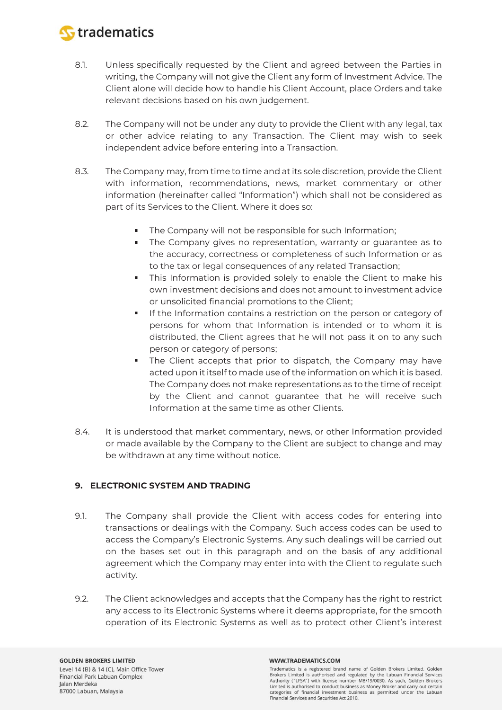

- 8.1. Unless specifically requested by the Client and agreed between the Parties in writing, the Company will not give the Client any form of Investment Advice. The Client alone will decide how to handle his Client Account, place Orders and take relevant decisions based on his own judgement.
- 8.2. The Company will not be under any duty to provide the Client with any legal, tax or other advice relating to any Transaction. The Client may wish to seek independent advice before entering into a Transaction.
- 8.3. The Company may, from time to time and at its sole discretion, provide the Client with information, recommendations, news, market commentary or other information (hereinafter called "Information") which shall not be considered as part of its Services to the Client. Where it does so:
	- The Company will not be responsible for such Information;
	- $\mathbf{u}$  . The Company gives no representation, warranty or guarantee as to the accuracy, correctness or completeness of such Information or as to the tax or legal consequences of any related Transaction;
	- This Information is provided solely to enable the Client to make his own investment decisions and does not amount to investment advice or unsolicited financial promotions to the Client;
	- If the Information contains a restriction on the person or category of persons for whom that Information is intended or to whom it is distributed, the Client agrees that he will not pass it on to any such person or category of persons;
	- The Client accepts that prior to dispatch, the Company may have acted upon it itself to made use of the information on which it is based. The Company does not make representations as to the time of receipt by the Client and cannot guarantee that he will receive such Information at the same time as other Clients.
- 8.4. It is understood that market commentary, news, or other Information provided or made available by the Company to the Client are subject to change and may be withdrawn at any time without notice.

# **9. ELECTRONIC SYSTEM AND TRADING**

- 9.1. The Company shall provide the Client with access codes for entering into transactions or dealings with the Company. Such access codes can be used to access the Company's Electronic Systems. Any such dealings will be carried out on the bases set out in this paragraph and on the basis of any additional agreement which the Company may enter into with the Client to regulate such activity.
- 9.2. The Client acknowledges and accepts that the Company has the right to restrict any access to its Electronic Systems where it deems appropriate, for the smooth operation of its Electronic Systems as well as to protect other Client's interest

#### WWW.TRADEMATICS.COM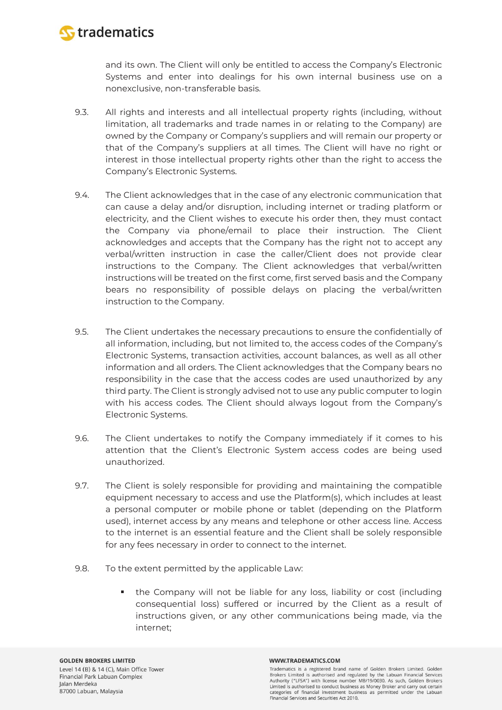

and its own. The Client will only be entitled to access the Company's Electronic Systems and enter into dealings for his own internal business use on a nonexclusive, non-transferable basis.

- 9.3. All rights and interests and all intellectual property rights (including, without limitation, all trademarks and trade names in or relating to the Company) are owned by the Company or Company's suppliers and will remain our property or that of the Company's suppliers at all times. The Client will have no right or interest in those intellectual property rights other than the right to access the Company's Electronic Systems.
- 9.4. The Client acknowledges that in the case of any electronic communication that can cause a delay and/or disruption, including internet or trading platform or electricity, and the Client wishes to execute his order then, they must contact the Company via phone/email to place their instruction. The Client acknowledges and accepts that the Company has the right not to accept any verbal/written instruction in case the caller/Client does not provide clear instructions to the Company. The Client acknowledges that verbal/written instructions will be treated on the first come, first served basis and the Company bears no responsibility of possible delays on placing the verbal/written instruction to the Company.
- 9.5. The Client undertakes the necessary precautions to ensure the confidentially of all information, including, but not limited to, the access codes of the Company's Electronic Systems, transaction activities, account balances, as well as all other information and all orders. The Client acknowledges that the Company bears no responsibility in the case that the access codes are used unauthorized by any third party. The Client is strongly advised not to use any public computer to login with his access codes. The Client should always logout from the Company's Electronic Systems.
- 9.6. The Client undertakes to notify the Company immediately if it comes to his attention that the Client's Electronic System access codes are being used unauthorized.
- 9.7. The Client is solely responsible for providing and maintaining the compatible equipment necessary to access and use the Platform(s), which includes at least a personal computer or mobile phone or tablet (depending on the Platform used), internet access by any means and telephone or other access line. Access to the internet is an essential feature and the Client shall be solely responsible for any fees necessary in order to connect to the internet.
- 9.8. To the extent permitted by the applicable Law:
	- the Company will not be liable for any loss, liability or cost (including consequential loss) suffered or incurred by the Client as a result of instructions given, or any other communications being made, via the internet;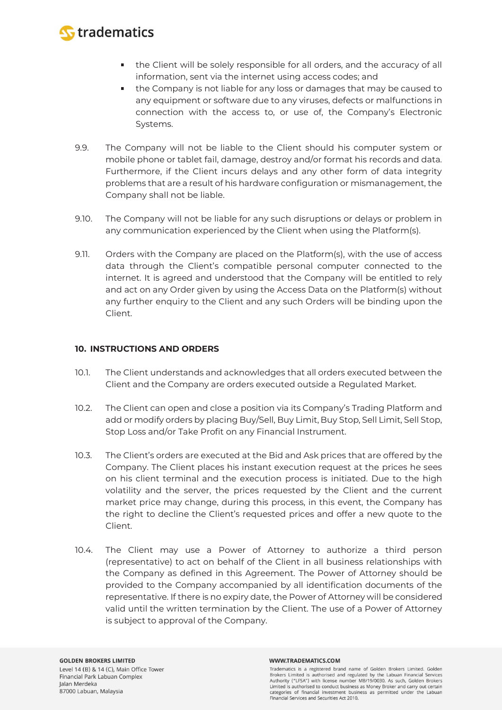

- the Client will be solely responsible for all orders, and the accuracy of all information, sent via the internet using access codes; and
- the Company is not liable for any loss or damages that may be caused to any equipment or software due to any viruses, defects or malfunctions in connection with the access to, or use of, the Company's Electronic Systems.
- 9.9. The Company will not be liable to the Client should his computer system or mobile phone or tablet fail, damage, destroy and/or format his records and data. Furthermore, if the Client incurs delays and any other form of data integrity problems that are a result of his hardware configuration or mismanagement, the Company shall not be liable.
- 9.10. The Company will not be liable for any such disruptions or delays or problem in any communication experienced by the Client when using the Platform(s).
- 9.11. Orders with the Company are placed on the Platform(s), with the use of access data through the Client's compatible personal computer connected to the internet. It is agreed and understood that the Company will be entitled to rely and act on any Order given by using the Access Data on the Platform(s) without any further enquiry to the Client and any such Orders will be binding upon the Client.

### **10. INSTRUCTIONS AND ORDERS**

- 10.1. The Client understands and acknowledges that all orders executed between the Client and the Company are orders executed outside a Regulated Market.
- 10.2. The Client can open and close a position via its Company's Trading Platform and add or modify orders by placing Buy/Sell, Buy Limit, Buy Stop, Sell Limit, Sell Stop, Stop Loss and/or Take Profit on any Financial Instrument.
- 10.3. The Client's orders are executed at the Bid and Ask prices that are offered by the Company. The Client places his instant execution request at the prices he sees on his client terminal and the execution process is initiated. Due to the high volatility and the server, the prices requested by the Client and the current market price may change, during this process, in this event, the Company has the right to decline the Client's requested prices and offer a new quote to the Client.
- 10.4. The Client may use a Power of Attorney to authorize a third person (representative) to act on behalf of the Client in all business relationships with the Company as defined in this Agreement. The Power of Attorney should be provided to the Company accompanied by all identification documents of the representative. If there is no expiry date, the Power of Attorney will be considered valid until the written termination by the Client. The use of a Power of Attorney is subject to approval of the Company.

#### WWW.TRADEMATICS.COM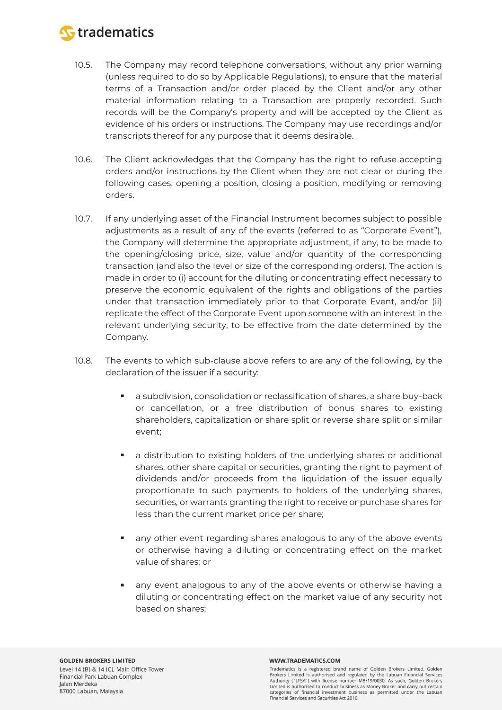

- 10.5. The Company may record telephone conversations, without any prior warning (unless required to do so by Applicable Regulations), to ensure that the material terms of a Transaction and/or order placed by the Client and/or any other material information relating to a Transaction are properly recorded. Such records will be the Company's property and will be accepted by the Client as evidence of his orders or instructions. The Company may use recordings and/or transcripts thereof for any purpose that it deems desirable.
- 10.6. The Client acknowledges that the Company has the right to refuse accepting orders and/or instructions by the Client when they are not clear or during the following cases: opening a position, closing a position, modifying or removing orders.
- 10.7. If any underlying asset of the Financial Instrument becomes subject to possible adjustments as a result of any of the events (referred to as "Corporate Event"), the Company will determine the appropriate adjustment, if any, to be made to the opening/closing price, size, value and/or quantity of the corresponding transaction (and also the level or size of the corresponding orders). The action is made in order to (i) account for the diluting or concentrating effect necessary to preserve the economic equivalent of the rights and obligations of the parties under that transaction immediately prior to that Corporate Event, and/or (ii) replicate the effect of the Corporate Event upon someone with an interest in the relevant underlying security, to be effective from the date determined by the Company.
- 10.8. The events to which sub-clause above refers to are any of the following, by the declaration of the issuer if a security:
	- a subdivision, consolidation or reclassification of shares, a share buy-back  $\blacksquare$ or cancellation, or a free distribution of bonus shares to existing shareholders, capitalization or share split or reverse share split or similar event;
	- a distribution to existing holders of the underlying shares or additional shares, other share capital or securities, granting the right to payment of dividends and/or proceeds from the liquidation of the issuer equally proportionate to such payments to holders of the underlying shares, securities, or warrants granting the right to receive or purchase shares for less than the current market price per share;
	- any other event regarding shares analogous to any of the above events or otherwise having a diluting or concentrating effect on the market value of shares; or
	- any event analogous to any of the above events or otherwise having a diluting or concentrating effect on the market value of any security not based on shares;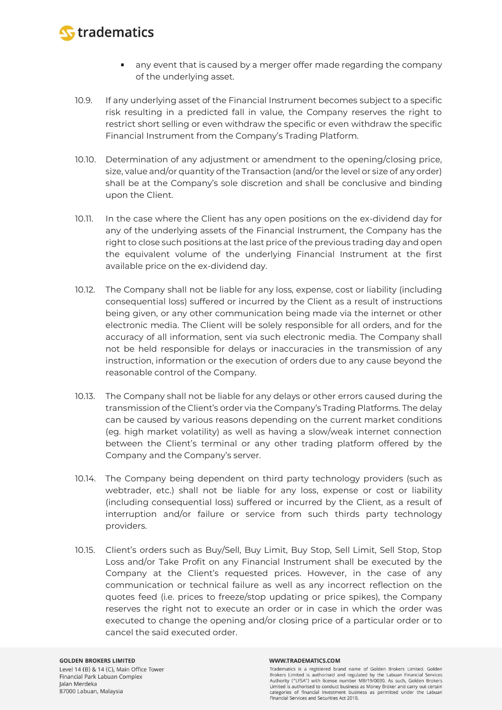

- any event that is caused by a merger offer made regarding the company of the underlying asset.
- 10.9. If any underlying asset of the Financial Instrument becomes subject to a specific risk resulting in a predicted fall in value, the Company reserves the right to restrict short selling or even withdraw the specific or even withdraw the specific Financial Instrument from the Company's Trading Platform.
- 10.10. Determination of any adjustment or amendment to the opening/closing price, size, value and/or quantity of the Transaction (and/or the level or size of any order) shall be at the Company's sole discretion and shall be conclusive and binding upon the Client.
- 10.11. In the case where the Client has any open positions on the ex-dividend day for any of the underlying assets of the Financial Instrument, the Company has the right to close such positions at the last price of the previous trading day and open the equivalent volume of the underlying Financial Instrument at the first available price on the ex-dividend day.
- 10.12. The Company shall not be liable for any loss, expense, cost or liability (including consequential loss) suffered or incurred by the Client as a result of instructions being given, or any other communication being made via the internet or other electronic media. The Client will be solely responsible for all orders, and for the accuracy of all information, sent via such electronic media. The Company shall not be held responsible for delays or inaccuracies in the transmission of any instruction, information or the execution of orders due to any cause beyond the reasonable control of the Company.
- 10.13. The Company shall not be liable for any delays or other errors caused during the transmission of the Client's order via the Company's Trading Platforms. The delay can be caused by various reasons depending on the current market conditions (eg. high market volatility) as well as having a slow/weak internet connection between the Client's terminal or any other trading platform offered by the Company and the Company's server.
- 10.14. The Company being dependent on third party technology providers (such as webtrader, etc.) shall not be liable for any loss, expense or cost or liability (including consequential loss) suffered or incurred by the Client, as a result of interruption and/or failure or service from such thirds party technology providers.
- 10.15. Client's orders such as Buy/Sell, Buy Limit, Buy Stop, Sell Limit, Sell Stop, Stop Loss and/or Take Profit on any Financial Instrument shall be executed by the Company at the Client's requested prices. However, in the case of any communication or technical failure as well as any incorrect reflection on the quotes feed (i.e. prices to freeze/stop updating or price spikes), the Company reserves the right not to execute an order or in case in which the order was executed to change the opening and/or closing price of a particular order or to cancel the said executed order.

#### WWW.TRADEMATICS.COM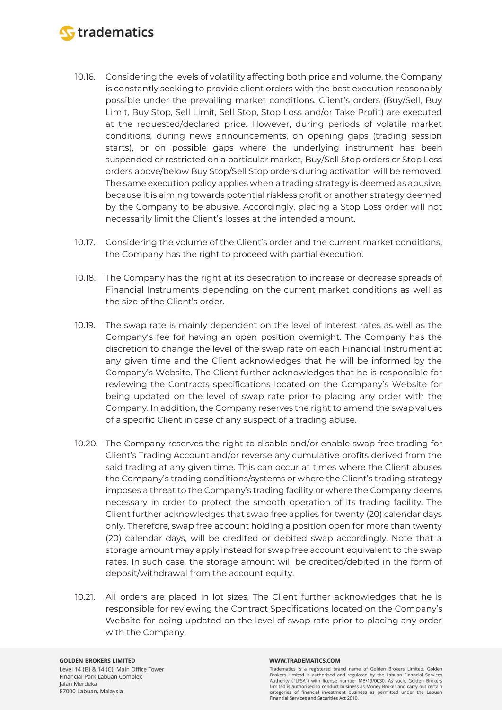

- 10.16. Considering the levels of volatility affecting both price and volume, the Company is constantly seeking to provide client orders with the best execution reasonably possible under the prevailing market conditions. Client's orders (Buy/Sell, Buy Limit, Buy Stop, Sell Limit, Sell Stop, Stop Loss and/or Take Profit) are executed at the requested/declared price. However, during periods of volatile market conditions, during news announcements, on opening gaps (trading session starts), or on possible gaps where the underlying instrument has been suspended or restricted on a particular market, Buy/Sell Stop orders or Stop Loss orders above/below Buy Stop/Sell Stop orders during activation will be removed. The same execution policy applies when a trading strategy is deemed as abusive, because it is aiming towards potential riskless profit or another strategy deemed by the Company to be abusive. Accordingly, placing a Stop Loss order will not necessarily limit the Client's losses at the intended amount.
- 10.17. Considering the volume of the Client's order and the current market conditions, the Company has the right to proceed with partial execution.
- 10.18. The Company has the right at its desecration to increase or decrease spreads of Financial Instruments depending on the current market conditions as well as the size of the Client's order.
- 10.19. The swap rate is mainly dependent on the level of interest rates as well as the Company's fee for having an open position overnight. The Company has the discretion to change the level of the swap rate on each Financial Instrument at any given time and the Client acknowledges that he will be informed by the Company's Website. The Client further acknowledges that he is responsible for reviewing the Contracts specifications located on the Company's Website for being updated on the level of swap rate prior to placing any order with the Company. In addition, the Company reserves the right to amend the swap values of a specific Client in case of any suspect of a trading abuse.
- 10.20. The Company reserves the right to disable and/or enable swap free trading for Client's Trading Account and/or reverse any cumulative profits derived from the said trading at any given time. This can occur at times where the Client abuses the Company's trading conditions/systems or where the Client's trading strategy imposes a threat to the Company's trading facility or where the Company deems necessary in order to protect the smooth operation of its trading facility. The Client further acknowledges that swap free applies for twenty (20) calendar days only. Therefore, swap free account holding a position open for more than twenty (20) calendar days, will be credited or debited swap accordingly. Note that a storage amount may apply instead for swap free account equivalent to the swap rates. In such case, the storage amount will be credited/debited in the form of deposit/withdrawal from the account equity.
- 10.21. All orders are placed in lot sizes. The Client further acknowledges that he is responsible for reviewing the Contract Specifications located on the Company's Website for being updated on the level of swap rate prior to placing any order with the Company.

#### **GOLDEN BROKERS LIMITED** Level 14 (B) & 14 (C), Main Office Tower Financial Park Labuan Complex Jalan Merdeka 87000 Labuan, Malaysia

#### WWW.TRADEMATICS.COM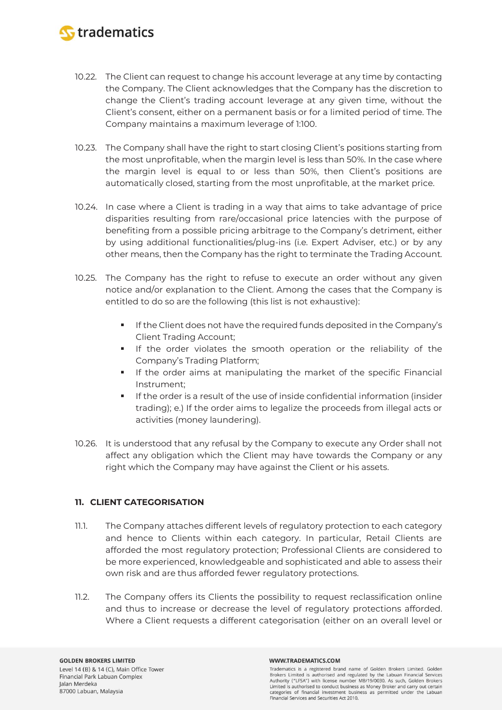

- 10.22. The Client can request to change his account leverage at any time by contacting the Company. The Client acknowledges that the Company has the discretion to change the Client's trading account leverage at any given time, without the Client's consent, either on a permanent basis or for a limited period of time. The Company maintains a maximum leverage of 1:100.
- 10.23. The Company shall have the right to start closing Client's positions starting from the most unprofitable, when the margin level is less than 50%. In the case where the margin level is equal to or less than 50%, then Client's positions are automatically closed, starting from the most unprofitable, at the market price.
- 10.24. In case where a Client is trading in a way that aims to take advantage of price disparities resulting from rare/occasional price latencies with the purpose of benefiting from a possible pricing arbitrage to the Company's detriment, either by using additional functionalities/plug-ins (i.e. Expert Adviser, etc.) or by any other means, then the Company has the right to terminate the Trading Account.
- 10.25. The Company has the right to refuse to execute an order without any given notice and/or explanation to the Client. Among the cases that the Company is entitled to do so are the following (this list is not exhaustive):
	- If the Client does not have the required funds deposited in the Company's Client Trading Account;
	- If the order violates the smooth operation or the reliability of the Company's Trading Platform;
	- **If the order aims at manipulating the market of the specific Financial** Instrument;
	- If the order is a result of the use of inside confidential information (insider trading); e.) If the order aims to legalize the proceeds from illegal acts or activities (money laundering).
- 10.26. It is understood that any refusal by the Company to execute any Order shall not affect any obligation which the Client may have towards the Company or any right which the Company may have against the Client or his assets.

# **11. CLIENT CATEGORISATION**

- 11.1. The Company attaches different levels of regulatory protection to each category and hence to Clients within each category. In particular, Retail Clients are afforded the most regulatory protection; Professional Clients are considered to be more experienced, knowledgeable and sophisticated and able to assess their own risk and are thus afforded fewer regulatory protections.
- 11.2. The Company offers its Clients the possibility to request reclassification online and thus to increase or decrease the level of regulatory protections afforded. Where a Client requests a different categorisation (either on an overall level or

#### WWW.TRADEMATICS.COM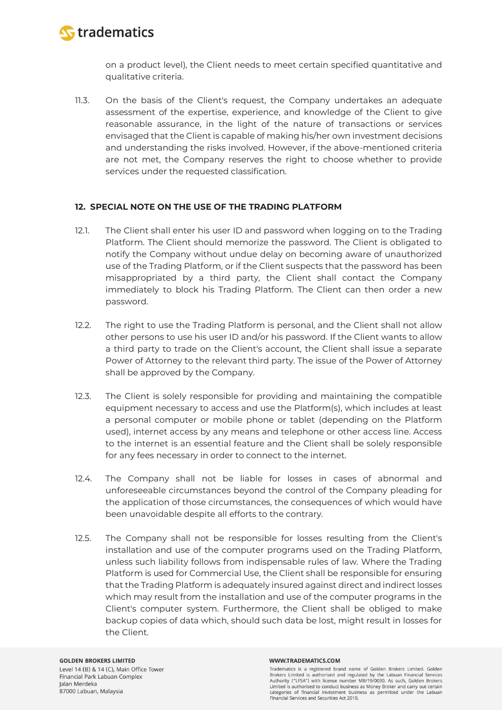

on a product level), the Client needs to meet certain specified quantitative and qualitative criteria.

11.3. On the basis of the Client's request, the Company undertakes an adequate assessment of the expertise, experience, and knowledge of the Client to give reasonable assurance, in the light of the nature of transactions or services envisaged that the Client is capable of making his/her own investment decisions and understanding the risks involved. However, if the above-mentioned criteria are not met, the Company reserves the right to choose whether to provide services under the requested classification.

### **12. SPECIAL NOTE ON THE USE OF THE TRADING PLATFORM**

- 12.1. The Client shall enter his user ID and password when logging on to the Trading Platform. The Client should memorize the password. The Client is obligated to notify the Company without undue delay on becoming aware of unauthorized use of the Trading Platform, or if the Client suspects that the password has been misappropriated by a third party, the Client shall contact the Company immediately to block his Trading Platform. The Client can then order a new password.
- 12.2. The right to use the Trading Platform is personal, and the Client shall not allow other persons to use his user ID and/or his password. If the Client wants to allow a third party to trade on the Client's account, the Client shall issue a separate Power of Attorney to the relevant third party. The issue of the Power of Attorney shall be approved by the Company.
- 12.3. The Client is solely responsible for providing and maintaining the compatible equipment necessary to access and use the Platform(s), which includes at least a personal computer or mobile phone or tablet (depending on the Platform used), internet access by any means and telephone or other access line. Access to the internet is an essential feature and the Client shall be solely responsible for any fees necessary in order to connect to the internet.
- 12.4. The Company shall not be liable for losses in cases of abnormal and unforeseeable circumstances beyond the control of the Company pleading for the application of those circumstances, the consequences of which would have been unavoidable despite all efforts to the contrary.
- 12.5. The Company shall not be responsible for losses resulting from the Client's installation and use of the computer programs used on the Trading Platform, unless such liability follows from indispensable rules of law. Where the Trading Platform is used for Commercial Use, the Client shall be responsible for ensuring that the Trading Platform is adequately insured against direct and indirect losses which may result from the installation and use of the computer programs in the Client's computer system. Furthermore, the Client shall be obliged to make backup copies of data which, should such data be lost, might result in losses for the Client.

#### WWW.TRADEMATICS.COM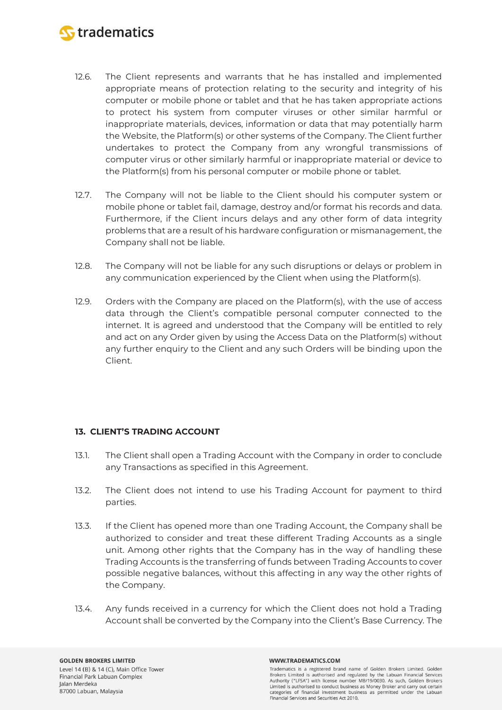

- 12.6. The Client represents and warrants that he has installed and implemented appropriate means of protection relating to the security and integrity of his computer or mobile phone or tablet and that he has taken appropriate actions to protect his system from computer viruses or other similar harmful or inappropriate materials, devices, information or data that may potentially harm the Website, the Platform(s) or other systems of the Company. The Client further undertakes to protect the Company from any wrongful transmissions of computer virus or other similarly harmful or inappropriate material or device to the Platform(s) from his personal computer or mobile phone or tablet.
- 12.7. The Company will not be liable to the Client should his computer system or mobile phone or tablet fail, damage, destroy and/or format his records and data. Furthermore, if the Client incurs delays and any other form of data integrity problems that are a result of his hardware configuration or mismanagement, the Company shall not be liable.
- 12.8. The Company will not be liable for any such disruptions or delays or problem in any communication experienced by the Client when using the Platform(s).
- 12.9. Orders with the Company are placed on the Platform(s), with the use of access data through the Client's compatible personal computer connected to the internet. It is agreed and understood that the Company will be entitled to rely and act on any Order given by using the Access Data on the Platform(s) without any further enquiry to the Client and any such Orders will be binding upon the Client.

# **13. CLIENT'S TRADING ACCOUNT**

- 13.1. The Client shall open a Trading Account with the Company in order to conclude any Transactions as specified in this Agreement.
- 13.2. The Client does not intend to use his Trading Account for payment to third parties.
- 13.3. If the Client has opened more than one Trading Account, the Company shall be authorized to consider and treat these different Trading Accounts as a single unit. Among other rights that the Company has in the way of handling these Trading Accounts is the transferring of funds between Trading Accounts to cover possible negative balances, without this affecting in any way the other rights of the Company.
- 13.4. Any funds received in a currency for which the Client does not hold a Trading Account shall be converted by the Company into the Client's Base Currency. The

#### WWW.TRADEMATICS.COM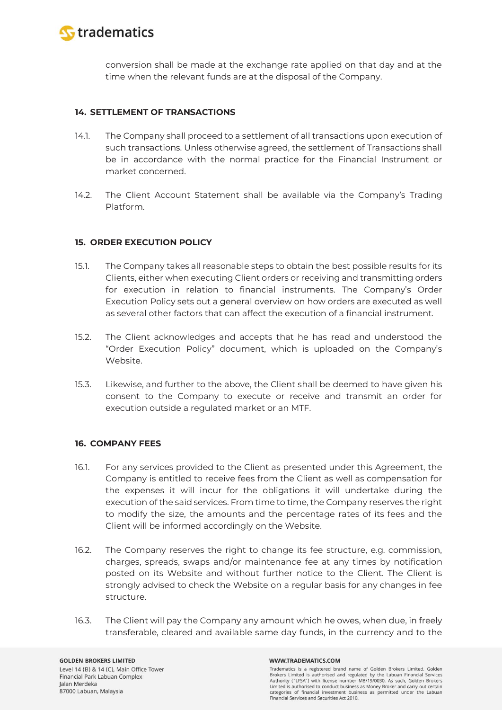

conversion shall be made at the exchange rate applied on that day and at the time when the relevant funds are at the disposal of the Company.

### **14. SETTLEMENT OF TRANSACTIONS**

- 14.1. The Company shall proceed to a settlement of all transactions upon execution of such transactions. Unless otherwise agreed, the settlement of Transactions shall be in accordance with the normal practice for the Financial Instrument or market concerned.
- 14.2. The Client Account Statement shall be available via the Company's Trading Platform.

### **15. ORDER EXECUTION POLICY**

- 15.1. The Company takes all reasonable steps to obtain the best possible results for its Clients, either when executing Client orders or receiving and transmitting orders for execution in relation to financial instruments. The Company's Order Execution Policy sets out a general overview on how orders are executed as well as several other factors that can affect the execution of a financial instrument.
- 15.2. The Client acknowledges and accepts that he has read and understood the "Order Execution Policy" document, which is uploaded on the Company's Website.
- 15.3. Likewise, and further to the above, the Client shall be deemed to have given his consent to the Company to execute or receive and transmit an order for execution outside a regulated market or an MTF.

### **16. COMPANY FEES**

- 16.1. For any services provided to the Client as presented under this Agreement, the Company is entitled to receive fees from the Client as well as compensation for the expenses it will incur for the obligations it will undertake during the execution of the said services. From time to time, the Company reserves the right to modify the size, the amounts and the percentage rates of its fees and the Client will be informed accordingly on the Website.
- 16.2. The Company reserves the right to change its fee structure, e.g. commission, charges, spreads, swaps and/or maintenance fee at any times by notification posted on its Website and without further notice to the Client. The Client is strongly advised to check the Website on a regular basis for any changes in fee structure.
- 16.3. The Client will pay the Company any amount which he owes, when due, in freely transferable, cleared and available same day funds, in the currency and to the

#### WWW.TRADEMATICS.COM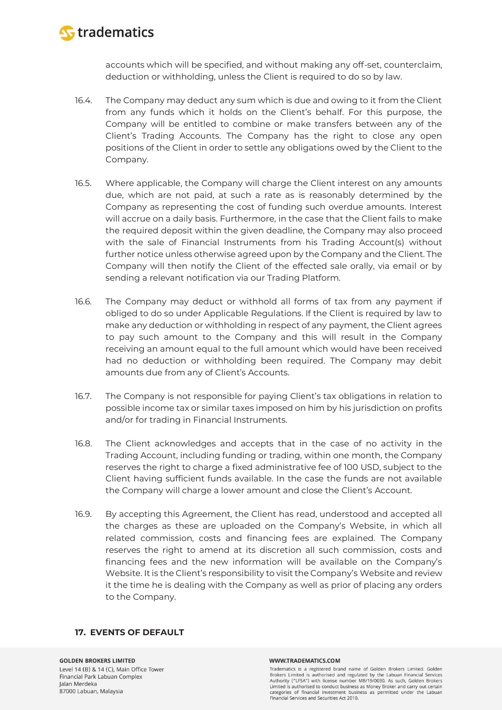

accounts which will be specified, and without making any off-set, counterclaim, deduction or withholding, unless the Client is required to do so by law.

- 16.4. The Company may deduct any sum which is due and owing to it from the Client from any funds which it holds on the Client's behalf. For this purpose, the Company will be entitled to combine or make transfers between any of the Client's Trading Accounts. The Company has the right to close any open positions of the Client in order to settle any obligations owed by the Client to the Company.
- 16.5. Where applicable, the Company will charge the Client interest on any amounts due, which are not paid, at such a rate as is reasonably determined by the Company as representing the cost of funding such overdue amounts. Interest will accrue on a daily basis. Furthermore, in the case that the Client fails to make the required deposit within the given deadline, the Company may also proceed with the sale of Financial Instruments from his Trading Account(s) without further notice unless otherwise agreed upon by the Company and the Client. The Company will then notify the Client of the effected sale orally, via email or by sending a relevant notification via our Trading Platform.
- 16.6. The Company may deduct or withhold all forms of tax from any payment if obliged to do so under Applicable Regulations. If the Client is required by law to make any deduction or withholding in respect of any payment, the Client agrees to pay such amount to the Company and this will result in the Company receiving an amount equal to the full amount which would have been received had no deduction or withholding been required. The Company may debit amounts due from any of Client's Accounts.
- 16.7. The Company is not responsible for paying Client's tax obligations in relation to possible income tax or similar taxes imposed on him by his jurisdiction on profits and/or for trading in Financial Instruments.
- 16.8. The Client acknowledges and accepts that in the case of no activity in the Trading Account, including funding or trading, within one month, the Company reserves the right to charge a fixed administrative fee of 100 USD, subject to the Client having sufficient funds available. In the case the funds are not available the Company will charge a lower amount and close the Client's Account.
- 16.9. By accepting this Agreement, the Client has read, understood and accepted all the charges as these are uploaded on the Company's Website, in which all related commission, costs and financing fees are explained. The Company reserves the right to amend at its discretion all such commission, costs and financing fees and the new information will be available on the Company's Website. It is the Client's responsibility to visit the Company's Website and review it the time he is dealing with the Company as well as prior of placing any orders to the Company.

### **17. EVENTS OF DEFAULT**

**GOLDEN BROKERS LIMITED** Level 14 (B) & 14 (C), Main Office Tower Financial Park Labuan Complex Jalan Merdeka 87000 Labuan, Malaysia

#### WWW.TRADEMATICS.COM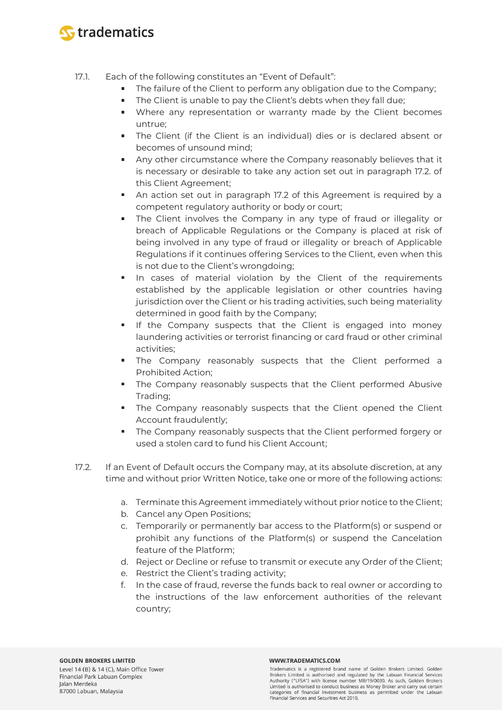

- 17.1. Each of the following constitutes an "Event of Default":
	- The failure of the Client to perform any obligation due to the Company;
	- The Client is unable to pay the Client's debts when they fall due;  $\mathbf{u}$  .
	- Where any representation or warranty made by the Client becomes untrue;
	- The Client (if the Client is an individual) dies or is declared absent or becomes of unsound mind;
	- **Any other circumstance where the Company reasonably believes that it** is necessary or desirable to take any action set out in paragraph 17.2. of this Client Agreement;
	- An action set out in paragraph 17.2 of this Agreement is required by a competent regulatory authority or body or court;
	- The Client involves the Company in any type of fraud or illegality or breach of Applicable Regulations or the Company is placed at risk of being involved in any type of fraud or illegality or breach of Applicable Regulations if it continues offering Services to the Client, even when this is not due to the Client's wrongdoing;
	- **In cases of material violation by the Client of the requirements** established by the applicable legislation or other countries having jurisdiction over the Client or his trading activities, such being materiality determined in good faith by the Company;
	- If the Company suspects that the Client is engaged into money laundering activities or terrorist financing or card fraud or other criminal activities;
	- The Company reasonably suspects that the Client performed a Prohibited Action;
	- The Company reasonably suspects that the Client performed Abusive Trading;
	- The Company reasonably suspects that the Client opened the Client Account fraudulently;
	- **The Company reasonably suspects that the Client performed forgery or** used a stolen card to fund his Client Account;
- 17.2. If an Event of Default occurs the Company may, at its absolute discretion, at any time and without prior Written Notice, take one or more of the following actions:
	- a. Terminate this Agreement immediately without prior notice to the Client;
	- b. Cancel any Open Positions;
	- c. Temporarily or permanently bar access to the Platform(s) or suspend or prohibit any functions of the Platform(s) or suspend the Cancelation feature of the Platform;
	- d. Reject or Decline or refuse to transmit or execute any Order of the Client;
	- e. Restrict the Client's trading activity;
	- f. In the case of fraud, reverse the funds back to real owner or according to the instructions of the law enforcement authorities of the relevant country;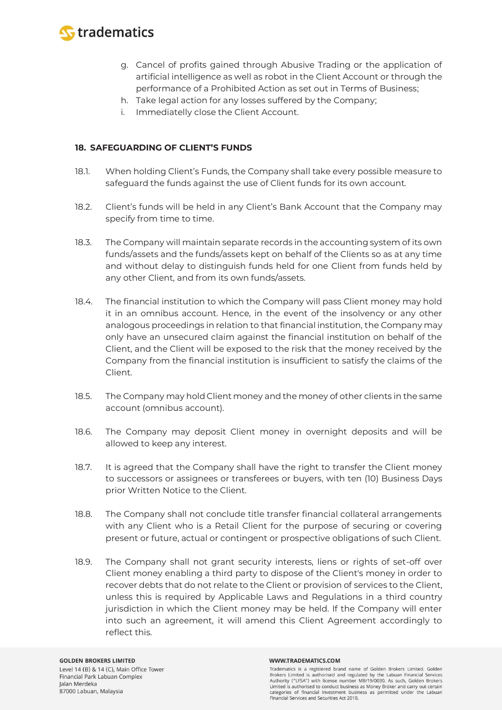

- g. Cancel of profits gained through Abusive Trading or the application of artificial intelligence as well as robot in the Client Account or through the performance of a Prohibited Action as set out in Terms of Business;
- h. Take legal action for any losses suffered by the Company;
- i. Immediatelly close the Client Account.

### **18. SAFEGUARDING OF CLIENT'S FUNDS**

- 18.1. When holding Client's Funds, the Company shall take every possible measure to safeguard the funds against the use of Client funds for its own account.
- 18.2. Client's funds will be held in any Client's Bank Account that the Company may specify from time to time.
- 18.3. The Company will maintain separate records in the accounting system of its own funds/assets and the funds/assets kept on behalf of the Clients so as at any time and without delay to distinguish funds held for one Client from funds held by any other Client, and from its own funds/assets.
- 18.4. The financial institution to which the Company will pass Client money may hold it in an omnibus account. Hence, in the event of the insolvency or any other analogous proceedings in relation to that financial institution, the Company may only have an unsecured claim against the financial institution on behalf of the Client, and the Client will be exposed to the risk that the money received by the Company from the financial institution is insufficient to satisfy the claims of the Client.
- 18.5. The Company may hold Client money and the money of other clients in the same account (omnibus account).
- 18.6. The Company may deposit Client money in overnight deposits and will be allowed to keep any interest.
- 18.7. It is agreed that the Company shall have the right to transfer the Client money to successors or assignees or transferees or buyers, with ten (10) Business Days prior Written Notice to the Client.
- 18.8. The Company shall not conclude title transfer financial collateral arrangements with any Client who is a Retail Client for the purpose of securing or covering present or future, actual or contingent or prospective obligations of such Client.
- 18.9. The Company shall not grant security interests, liens or rights of set-off over Client money enabling a third party to dispose of the Client's money in order to recover debts that do not relate to the Client or provision of services to the Client, unless this is required by Applicable Laws and Regulations in a third country jurisdiction in which the Client money may be held. If the Company will enter into such an agreement, it will amend this Client Agreement accordingly to reflect this.

#### WWW.TRADEMATICS.COM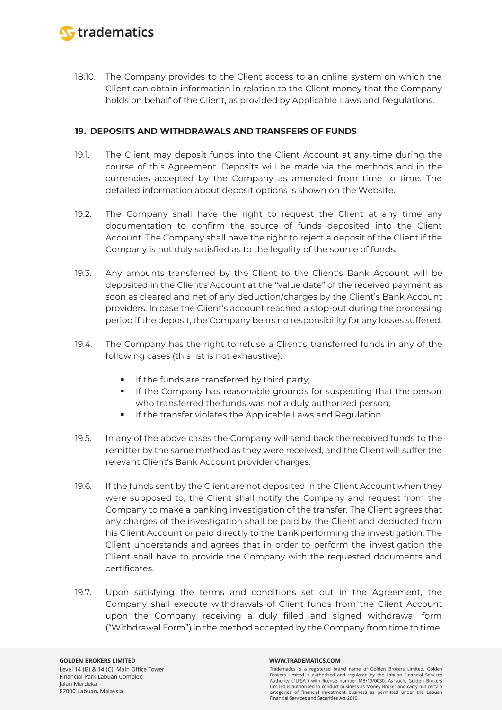

18.10. The Company provides to the Client access to an online system on which the Client can obtain information in relation to the Client money that the Company holds on behalf of the Client, as provided by Applicable Laws and Regulations.

### **19. DEPOSITS AND WITHDRAWALS AND TRANSFERS OF FUNDS**

- 19.1. The Client may deposit funds into the Client Account at any time during the course of this Agreement. Deposits will be made via the methods and in the currencies accepted by the Company as amended from time to time. The detailed information about deposit options is shown on the Website.
- 19.2. The Company shall have the right to request the Client at any time any documentation to confirm the source of funds deposited into the Client Account. The Company shall have the right to reject a deposit of the Client if the Company is not duly satisfied as to the legality of the source of funds.
- 19.3. Any amounts transferred by the Client to the Client's Bank Account will be deposited in the Client's Account at the "value date" of the received payment as soon as cleared and net of any deduction/charges by the Client's Bank Account providers. In case the Client's account reached a stop-out during the processing period if the deposit, the Company bears no responsibility for any losses suffered.
- 19.4. The Company has the right to refuse a Client's transferred funds in any of the following cases (this list is not exhaustive):
	- ×. If the funds are transferred by third party;
	- If the Company has reasonable grounds for suspecting that the person who transferred the funds was not a duly authorized person;
	- If the transfer violates the Applicable Laws and Regulation.
- 19.5. In any of the above cases the Company will send back the received funds to the remitter by the same method as they were received, and the Client will suffer the relevant Client's Bank Account provider charges.
- 19.6. If the funds sent by the Client are not deposited in the Client Account when they were supposed to, the Client shall notify the Company and request from the Company to make a banking investigation of the transfer. The Client agrees that any charges of the investigation shall be paid by the Client and deducted from his Client Account or paid directly to the bank performing the investigation. The Client understands and agrees that in order to perform the investigation the Client shall have to provide the Company with the requested documents and certificates.
- 19.7. Upon satisfying the terms and conditions set out in the Agreement, the Company shall execute withdrawals of Client funds from the Client Account upon the Company receiving a duly filled and signed withdrawal form ("Withdrawal Form") in the method accepted by the Company from time to time.

#### WWW.TRADEMATICS.COM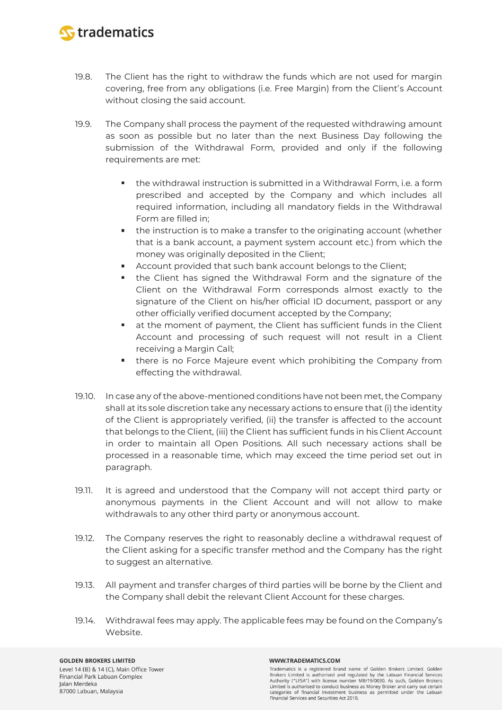

- 19.8. The Client has the right to withdraw the funds which are not used for margin covering, free from any obligations (i.e. Free Margin) from the Client's Account without closing the said account.
- 19.9. The Company shall process the payment of the requested withdrawing amount as soon as possible but no later than the next Business Day following the submission of the Withdrawal Form, provided and only if the following requirements are met:
	- the withdrawal instruction is submitted in a Withdrawal Form, i.e. a form prescribed and accepted by the Company and which includes all required information, including all mandatory fields in the Withdrawal Form are filled in;
	- the instruction is to make a transfer to the originating account (whether that is a bank account, a payment system account etc.) from which the money was originally deposited in the Client;
	- Account provided that such bank account belongs to the Client;
	- the Client has signed the Withdrawal Form and the signature of the Client on the Withdrawal Form corresponds almost exactly to the signature of the Client on his/her official ID document, passport or any other officially verified document accepted by the Company;
	- at the moment of payment, the Client has sufficient funds in the Client Account and processing of such request will not result in a Client receiving a Margin Call;
	- **there is no Force Majeure event which prohibiting the Company from** effecting the withdrawal.
- 19.10. In case any of the above-mentioned conditions have not been met, the Company shall at its sole discretion take any necessary actions to ensure that (i) the identity of the Client is appropriately verified, (ii) the transfer is affected to the account that belongs to the Client, (iii) the Client has sufficient funds in his Client Account in order to maintain all Open Positions. All such necessary actions shall be processed in a reasonable time, which may exceed the time period set out in paragraph.
- 19.11. It is agreed and understood that the Company will not accept third party or anonymous payments in the Client Account and will not allow to make withdrawals to any other third party or anonymous account.
- 19.12. The Company reserves the right to reasonably decline a withdrawal request of the Client asking for a specific transfer method and the Company has the right to suggest an alternative.
- 19.13. All payment and transfer charges of third parties will be borne by the Client and the Company shall debit the relevant Client Account for these charges.
- 19.14. Withdrawal fees may apply. The applicable fees may be found on the Company's Website.

# **GOLDEN BROKERS LIMITED**

Level 14 (B) & 14 (C), Main Office Tower Financial Park Labuan Complex Jalan Merdeka 87000 Labuan, Malaysia

#### WWW.TRADEMATICS.COM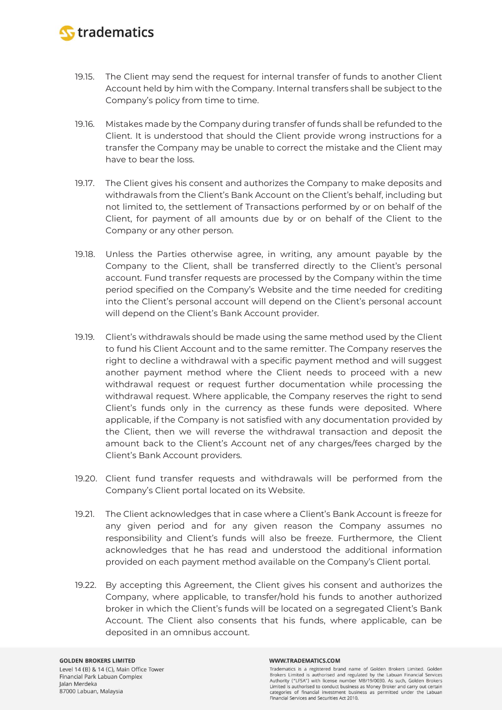

- 19.15. The Client may send the request for internal transfer of funds to another Client Account held by him with the Company. Internal transfers shall be subject to the Company's policy from time to time.
- 19.16. Mistakes made by the Company during transfer of funds shall be refunded to the Client. It is understood that should the Client provide wrong instructions for a transfer the Company may be unable to correct the mistake and the Client may have to bear the loss.
- 19.17. The Client gives his consent and authorizes the Company to make deposits and withdrawals from the Client's Bank Account on the Client's behalf, including but not limited to, the settlement of Transactions performed by or on behalf of the Client, for payment of all amounts due by or on behalf of the Client to the Company or any other person.
- 19.18. Unless the Parties otherwise agree, in writing, any amount payable by the Company to the Client, shall be transferred directly to the Client's personal account. Fund transfer requests are processed by the Company within the time period specified on the Company's Website and the time needed for crediting into the Client's personal account will depend on the Client's personal account will depend on the Client's Bank Account provider.
- 19.19. Client's withdrawals should be made using the same method used by the Client to fund his Client Account and to the same remitter. The Company reserves the right to decline a withdrawal with a specific payment method and will suggest another payment method where the Client needs to proceed with a new withdrawal request or request further documentation while processing the withdrawal request. Where applicable, the Company reserves the right to send Client's funds only in the currency as these funds were deposited. Where applicable, if the Company is not satisfied with any documentation provided by the Client, then we will reverse the withdrawal transaction and deposit the amount back to the Client's Account net of any charges/fees charged by the Client's Bank Account providers.
- 19.20. Client fund transfer requests and withdrawals will be performed from the Company's Client portal located on its Website.
- 19.21. The Client acknowledges that in case where a Client's Bank Account is freeze for any given period and for any given reason the Company assumes no responsibility and Client's funds will also be freeze. Furthermore, the Client acknowledges that he has read and understood the additional information provided on each payment method available on the Company's Client portal.
- 19.22. By accepting this Agreement, the Client gives his consent and authorizes the Company, where applicable, to transfer/hold his funds to another authorized broker in which the Client's funds will be located on a segregated Client's Bank Account. The Client also consents that his funds, where applicable, can be deposited in an omnibus account.

#### WWW.TRADEMATICS.COM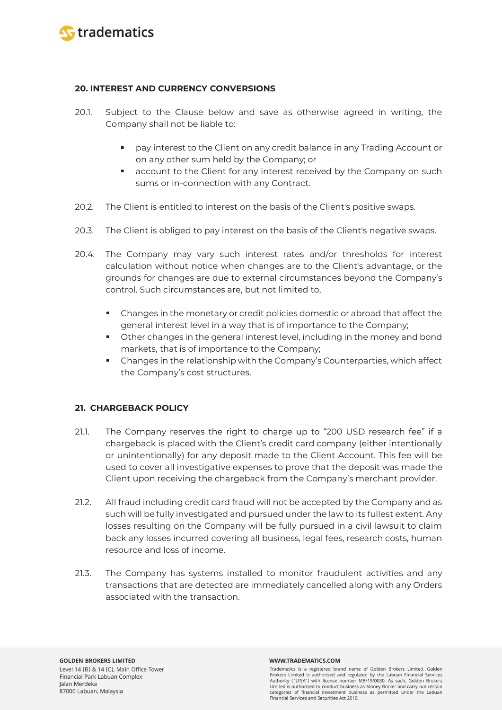

### **20. INTEREST AND CURRENCY CONVERSIONS**

- 20.1. Subject to the Clause below and save as otherwise agreed in writing, the Company shall not be liable to:
	- and the pay interest to the Client on any credit balance in any Trading Account or on any other sum held by the Company; or
	- account to the Client for any interest received by the Company on such sums or in-connection with any Contract.
- 20.2. The Client is entitled to interest on the basis of the Client's positive swaps.
- 20.3. The Client is obliged to pay interest on the basis of the Client's negative swaps.
- 20.4. The Company may vary such interest rates and/or thresholds for interest calculation without notice when changes are to the Client's advantage, or the grounds for changes are due to external circumstances beyond the Company's control. Such circumstances are, but not limited to,
	- Changes in the monetary or credit policies domestic or abroad that affect the general interest level in a way that is of importance to the Company;
	- Other changes in the general interest level, including in the money and bond markets, that is of importance to the Company;
	- Changes in the relationship with the Company's Counterparties, which affect the Company's cost structures.

# **21. CHARGEBACK POLICY**

- 21.1. The Company reserves the right to charge up to "200 USD research fee" if a chargeback is placed with the Client's credit card company (either intentionally or unintentionally) for any deposit made to the Client Account. This fee will be used to cover all investigative expenses to prove that the deposit was made the Client upon receiving the chargeback from the Company's merchant provider.
- 21.2. All fraud including credit card fraud will not be accepted by the Company and as such will be fully investigated and pursued under the law to its fullest extent. Any losses resulting on the Company will be fully pursued in a civil lawsuit to claim back any losses incurred covering all business, legal fees, research costs, human resource and loss of income.
- 21.3. The Company has systems installed to monitor fraudulent activities and any transactions that are detected are immediately cancelled along with any Orders associated with the transaction.

#### WWW.TRADEMATICS.COM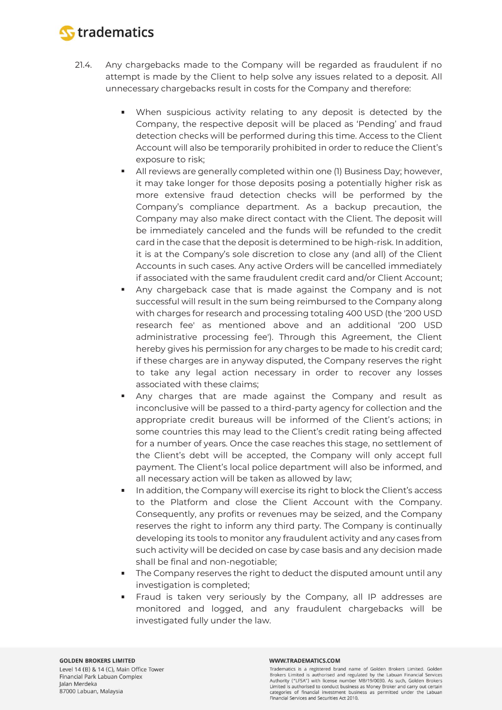

- 21.4. Any chargebacks made to the Company will be regarded as fraudulent if no attempt is made by the Client to help solve any issues related to a deposit. All unnecessary chargebacks result in costs for the Company and therefore:
	- When suspicious activity relating to any deposit is detected by the Company, the respective deposit will be placed as 'Pending' and fraud detection checks will be performed during this time. Access to the Client Account will also be temporarily prohibited in order to reduce the Client's exposure to risk;
	- All reviews are generally completed within one (1) Business Day; however, it may take longer for those deposits posing a potentially higher risk as more extensive fraud detection checks will be performed by the Company's compliance department. As a backup precaution, the Company may also make direct contact with the Client. The deposit will be immediately canceled and the funds will be refunded to the credit card in the case that the deposit is determined to be high-risk. In addition, it is at the Company's sole discretion to close any (and all) of the Client Accounts in such cases. Any active Orders will be cancelled immediately if associated with the same fraudulent credit card and/or Client Account;
	- Any chargeback case that is made against the Company and is not successful will result in the sum being reimbursed to the Company along with charges for research and processing totaling 400 USD (the '200 USD research fee' as mentioned above and an additional '200 USD administrative processing fee'). Through this Agreement, the Client hereby gives his permission for any charges to be made to his credit card; if these charges are in anyway disputed, the Company reserves the right to take any legal action necessary in order to recover any losses associated with these claims;
	- Any charges that are made against the Company and result as inconclusive will be passed to a third-party agency for collection and the appropriate credit bureaus will be informed of the Client's actions; in some countries this may lead to the Client's credit rating being affected for a number of years. Once the case reaches this stage, no settlement of the Client's debt will be accepted, the Company will only accept full payment. The Client's local police department will also be informed, and all necessary action will be taken as allowed by law;
	- In addition, the Company will exercise its right to block the Client's access to the Platform and close the Client Account with the Company. Consequently, any profits or revenues may be seized, and the Company reserves the right to inform any third party. The Company is continually developing its tools to monitor any fraudulent activity and any cases from such activity will be decided on case by case basis and any decision made shall be final and non-negotiable;
	- The Company reserves the right to deduct the disputed amount until any investigation is completed;
	- Fraud is taken very seriously by the Company, all IP addresses are monitored and logged, and any fraudulent chargebacks will be investigated fully under the law.

#### WWW.TRADEMATICS.COM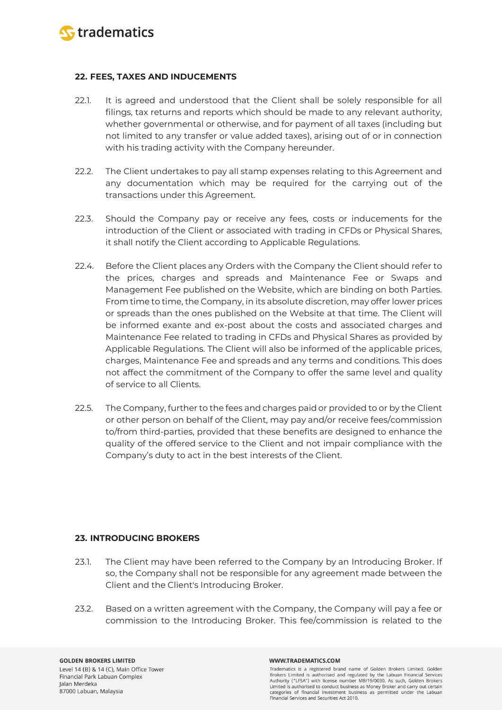

### **22. FEES, TAXES AND INDUCEMENTS**

- 22.1. It is agreed and understood that the Client shall be solely responsible for all filings, tax returns and reports which should be made to any relevant authority, whether governmental or otherwise, and for payment of all taxes (including but not limited to any transfer or value added taxes), arising out of or in connection with his trading activity with the Company hereunder.
- 22.2. The Client undertakes to pay all stamp expenses relating to this Agreement and any documentation which may be required for the carrying out of the transactions under this Agreement.
- 22.3. Should the Company pay or receive any fees, costs or inducements for the introduction of the Client or associated with trading in CFDs or Physical Shares, it shall notify the Client according to Applicable Regulations.
- 22.4. Before the Client places any Orders with the Company the Client should refer to the prices, charges and spreads and Maintenance Fee or Swaps and Management Fee published on the Website, which are binding on both Parties. From time to time, the Company, in its absolute discretion, may offer lower prices or spreads than the ones published on the Website at that time. The Client will be informed exante and ex-post about the costs and associated charges and Maintenance Fee related to trading in CFDs and Physical Shares as provided by Applicable Regulations. The Client will also be informed of the applicable prices, charges, Maintenance Fee and spreads and any terms and conditions. This does not affect the commitment of the Company to offer the same level and quality of service to all Clients.
- 22.5. The Company, further to the fees and charges paid or provided to or by the Client or other person on behalf of the Client, may pay and/or receive fees/commission to/from third-parties, provided that these benefits are designed to enhance the quality of the offered service to the Client and not impair compliance with the Company's duty to act in the best interests of the Client.

# **23. INTRODUCING BROKERS**

- 23.1. The Client may have been referred to the Company by an Introducing Broker. If so, the Company shall not be responsible for any agreement made between the Client and the Client's Introducing Broker.
- 23.2. Based on a written agreement with the Company, the Company will pay a fee or commission to the Introducing Broker. This fee/commission is related to the

**GOLDEN BROKERS LIMITED** Level 14 (B) & 14 (C), Main Office Tower Financial Park Labuan Complex Jalan Merdeka 87000 Labuan, Malaysia

#### WWW.TRADEMATICS.COM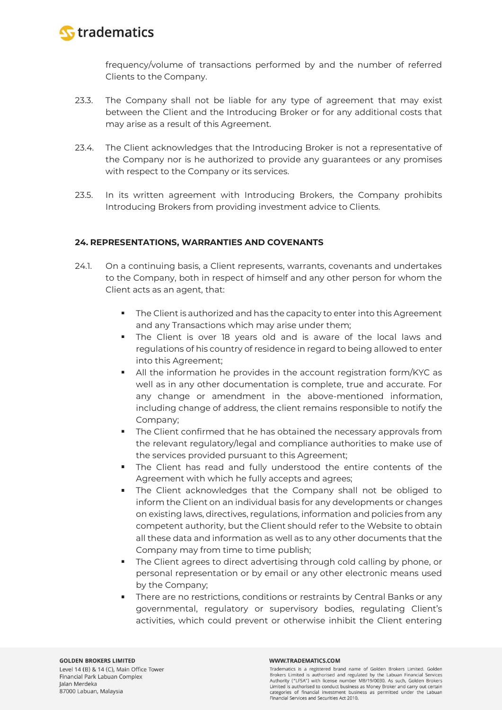

frequency/volume of transactions performed by and the number of referred Clients to the Company.

- 23.3. The Company shall not be liable for any type of agreement that may exist between the Client and the Introducing Broker or for any additional costs that may arise as a result of this Agreement.
- 23.4. The Client acknowledges that the Introducing Broker is not a representative of the Company nor is he authorized to provide any guarantees or any promises with respect to the Company or its services.
- 23.5. In its written agreement with Introducing Brokers, the Company prohibits Introducing Brokers from providing investment advice to Clients.

### **24. REPRESENTATIONS, WARRANTIES AND COVENANTS**

- 24.1. On a continuing basis, a Client represents, warrants, covenants and undertakes to the Company, both in respect of himself and any other person for whom the Client acts as an agent, that:
	- The Client is authorized and has the capacity to enter into this Agreement and any Transactions which may arise under them;
	- The Client is over 18 years old and is aware of the local laws and regulations of his country of residence in regard to being allowed to enter into this Agreement;
	- All the information he provides in the account registration form/KYC as well as in any other documentation is complete, true and accurate. For any change or amendment in the above-mentioned information, including change of address, the client remains responsible to notify the Company;
	- **The Client confirmed that he has obtained the necessary approvals from** the relevant regulatory/legal and compliance authorities to make use of the services provided pursuant to this Agreement;
	- The Client has read and fully understood the entire contents of the Agreement with which he fully accepts and agrees;
	- The Client acknowledges that the Company shall not be obliged to inform the Client on an individual basis for any developments or changes on existing laws, directives, regulations, information and policies from any competent authority, but the Client should refer to the Website to obtain all these data and information as well as to any other documents that the Company may from time to time publish;
	- The Client agrees to direct advertising through cold calling by phone, or personal representation or by email or any other electronic means used by the Company;
	- There are no restrictions, conditions or restraints by Central Banks or any governmental, regulatory or supervisory bodies, regulating Client's activities, which could prevent or otherwise inhibit the Client entering

#### WWW.TRADEMATICS.COM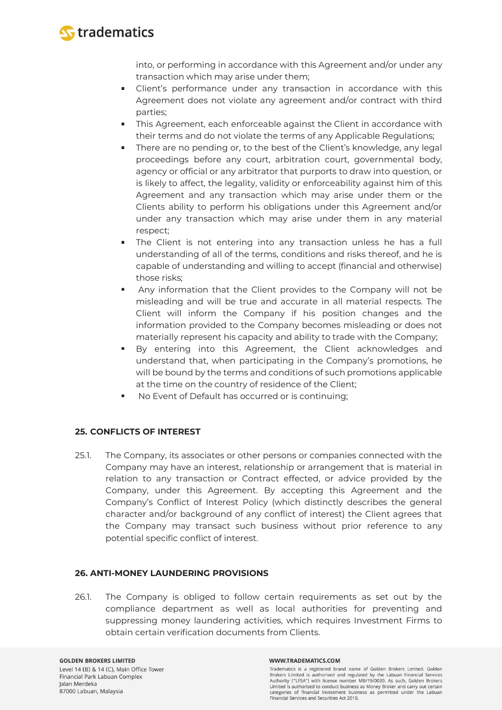

into, or performing in accordance with this Agreement and/or under any transaction which may arise under them;

- Client's performance under any transaction in accordance with this Agreement does not violate any agreement and/or contract with third parties;
- This Agreement, each enforceable against the Client in accordance with their terms and do not violate the terms of any Applicable Regulations;
- There are no pending or, to the best of the Client's knowledge, any legal proceedings before any court, arbitration court, governmental body, agency or official or any arbitrator that purports to draw into question, or is likely to affect, the legality, validity or enforceability against him of this Agreement and any transaction which may arise under them or the Clients ability to perform his obligations under this Agreement and/or under any transaction which may arise under them in any material respect;
- The Client is not entering into any transaction unless he has a full understanding of all of the terms, conditions and risks thereof, and he is capable of understanding and willing to accept (financial and otherwise) those risks;
- Any information that the Client provides to the Company will not be misleading and will be true and accurate in all material respects. The Client will inform the Company if his position changes and the information provided to the Company becomes misleading or does not materially represent his capacity and ability to trade with the Company;
- By entering into this Agreement, the Client acknowledges and understand that, when participating in the Company's promotions, he will be bound by the terms and conditions of such promotions applicable at the time on the country of residence of the Client;
- No Event of Default has occurred or is continuing;

# **25. CONFLICTS OF INTEREST**

25.1. The Company, its associates or other persons or companies connected with the Company may have an interest, relationship or arrangement that is material in relation to any transaction or Contract effected, or advice provided by the Company, under this Agreement. By accepting this Agreement and the Company's Conflict of Interest Policy (which distinctly describes the general character and/or background of any conflict of interest) the Client agrees that the Company may transact such business without prior reference to any potential specific conflict of interest.

# **26. ANTI-MONEY LAUNDERING PROVISIONS**

26.1. The Company is obliged to follow certain requirements as set out by the compliance department as well as local authorities for preventing and suppressing money laundering activities, which requires Investment Firms to obtain certain verification documents from Clients.

#### WWW.TRADEMATICS.COM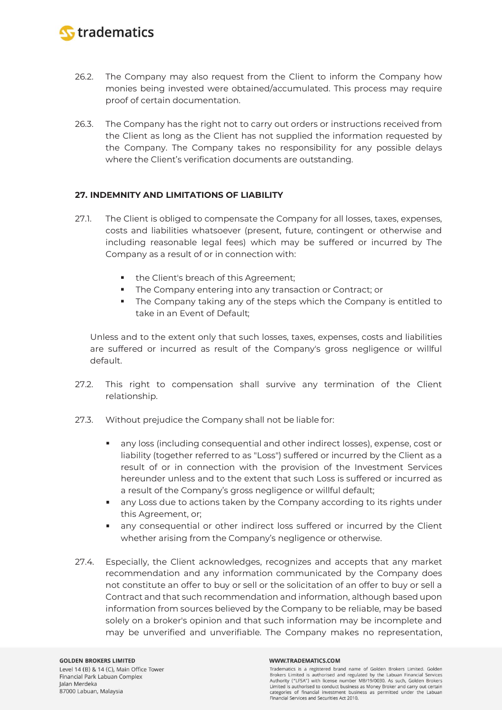

- 26.2. The Company may also request from the Client to inform the Company how monies being invested were obtained/accumulated. This process may require proof of certain documentation.
- 26.3. The Company has the right not to carry out orders or instructions received from the Client as long as the Client has not supplied the information requested by the Company. The Company takes no responsibility for any possible delays where the Client's verification documents are outstanding.

### **27. INDEMNITY AND LIMITATIONS OF LIABILITY**

- 27.1. The Client is obliged to compensate the Company for all losses, taxes, expenses, costs and liabilities whatsoever (present, future, contingent or otherwise and including reasonable legal fees) which may be suffered or incurred by The Company as a result of or in connection with:
	- the Client's breach of this Agreement;
	- ×. The Company entering into any transaction or Contract; or
	- The Company taking any of the steps which the Company is entitled to take in an Event of Default;

Unless and to the extent only that such losses, taxes, expenses, costs and liabilities are suffered or incurred as result of the Company's gross negligence or willful default.

- 27.2. This right to compensation shall survive any termination of the Client relationship.
- 27.3. Without prejudice the Company shall not be liable for:
	- any loss (including consequential and other indirect losses), expense, cost or liability (together referred to as "Loss") suffered or incurred by the Client as a result of or in connection with the provision of the Investment Services hereunder unless and to the extent that such Loss is suffered or incurred as a result of the Company's gross negligence or willful default;
	- **any Loss due to actions taken by the Company according to its rights under** this Agreement, or;
	- any consequential or other indirect loss suffered or incurred by the Client whether arising from the Company's negligence or otherwise.
- 27.4. Especially, the Client acknowledges, recognizes and accepts that any market recommendation and any information communicated by the Company does not constitute an offer to buy or sell or the solicitation of an offer to buy or sell a Contract and that such recommendation and information, although based upon information from sources believed by the Company to be reliable, may be based solely on a broker's opinion and that such information may be incomplete and may be unverified and unverifiable. The Company makes no representation,

Jalan Merdeka 87000 Labuan, Malaysia

#### WWW.TRADEMATICS.COM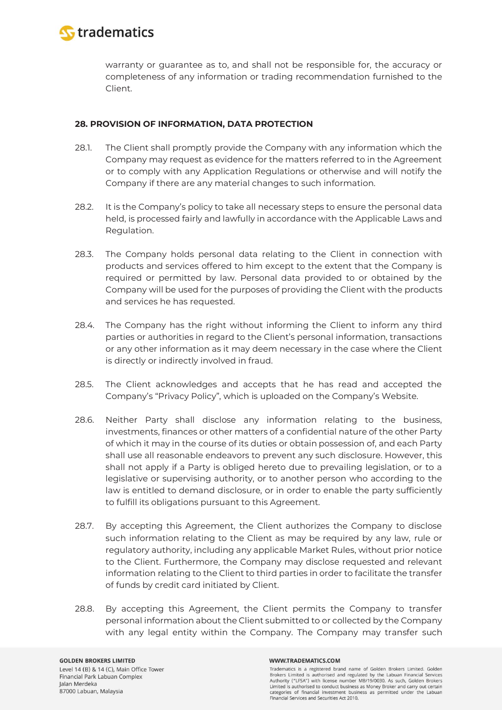

warranty or guarantee as to, and shall not be responsible for, the accuracy or completeness of any information or trading recommendation furnished to the Client.

### **28. PROVISION OF INFORMATION, DATA PROTECTION**

- 28.1. The Client shall promptly provide the Company with any information which the Company may request as evidence for the matters referred to in the Agreement or to comply with any Application Regulations or otherwise and will notify the Company if there are any material changes to such information.
- 28.2. It is the Company's policy to take all necessary steps to ensure the personal data held, is processed fairly and lawfully in accordance with the Applicable Laws and Regulation.
- 28.3. The Company holds personal data relating to the Client in connection with products and services offered to him except to the extent that the Company is required or permitted by law. Personal data provided to or obtained by the Company will be used for the purposes of providing the Client with the products and services he has requested.
- 28.4. The Company has the right without informing the Client to inform any third parties or authorities in regard to the Client's personal information, transactions or any other information as it may deem necessary in the case where the Client is directly or indirectly involved in fraud.
- 28.5. The Client acknowledges and accepts that he has read and accepted the Company's "Privacy Policy", which is uploaded on the Company's Website.
- 28.6. Neither Party shall disclose any information relating to the business, investments, finances or other matters of a confidential nature of the other Party of which it may in the course of its duties or obtain possession of, and each Party shall use all reasonable endeavors to prevent any such disclosure. However, this shall not apply if a Party is obliged hereto due to prevailing legislation, or to a legislative or supervising authority, or to another person who according to the law is entitled to demand disclosure, or in order to enable the party sufficiently to fulfill its obligations pursuant to this Agreement.
- 28.7. By accepting this Agreement, the Client authorizes the Company to disclose such information relating to the Client as may be required by any law, rule or regulatory authority, including any applicable Market Rules, without prior notice to the Client. Furthermore, the Company may disclose requested and relevant information relating to the Client to third parties in order to facilitate the transfer of funds by credit card initiated by Client.
- 28.8. By accepting this Agreement, the Client permits the Company to transfer personal information about the Client submitted to or collected by the Company with any legal entity within the Company. The Company may transfer such

#### WWW.TRADEMATICS.COM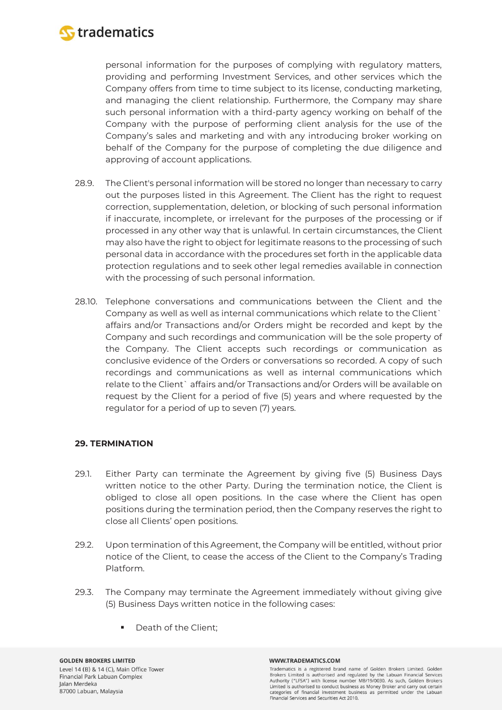

personal information for the purposes of complying with regulatory matters, providing and performing Investment Services, and other services which the Company offers from time to time subject to its license, conducting marketing, and managing the client relationship. Furthermore, the Company may share such personal information with a third-party agency working on behalf of the Company with the purpose of performing client analysis for the use of the Company's sales and marketing and with any introducing broker working on behalf of the Company for the purpose of completing the due diligence and approving of account applications.

- 28.9. The Client's personal information will be stored no longer than necessary to carry out the purposes listed in this Agreement. The Client has the right to request correction, supplementation, deletion, or blocking of such personal information if inaccurate, incomplete, or irrelevant for the purposes of the processing or if processed in any other way that is unlawful. In certain circumstances, the Client may also have the right to object for legitimate reasons to the processing of such personal data in accordance with the procedures set forth in the applicable data protection regulations and to seek other legal remedies available in connection with the processing of such personal information.
- 28.10. Telephone conversations and communications between the Client and the Company as well as well as internal communications which relate to the Client` affairs and/or Transactions and/or Orders might be recorded and kept by the Company and such recordings and communication will be the sole property of the Company. The Client accepts such recordings or communication as conclusive evidence of the Orders or conversations so recorded. A copy of such recordings and communications as well as internal communications which relate to the Client` affairs and/or Transactions and/or Orders will be available on request by the Client for a period of five (5) years and where requested by the regulator for a period of up to seven (7) years.

### **29. TERMINATION**

- 29.1. Either Party can terminate the Agreement by giving five (5) Business Days written notice to the other Party. During the termination notice, the Client is obliged to close all open positions. In the case where the Client has open positions during the termination period, then the Company reserves the right to close all Clients' open positions.
- 29.2. Upon termination of this Agreement, the Company will be entitled, without prior notice of the Client, to cease the access of the Client to the Company's Trading Platform.
- 29.3. The Company may terminate the Agreement immediately without giving give (5) Business Days written notice in the following cases:
	- Death of the Client;

#### WWW.TRADEMATICS.COM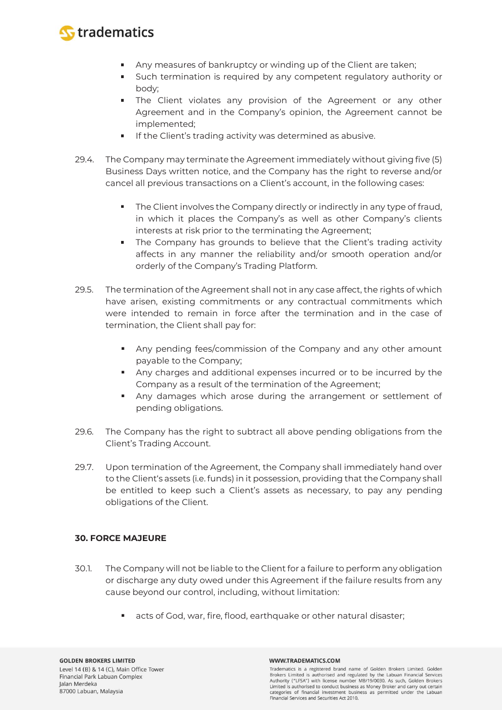

- Any measures of bankruptcy or winding up of the Client are taken;
- Such termination is required by any competent regulatory authority or body;
- **The Client violates any provision of the Agreement or any other** Agreement and in the Company's opinion, the Agreement cannot be implemented;
- **If the Client's trading activity was determined as abusive.**
- 29.4. The Company may terminate the Agreement immediately without giving five (5) Business Days written notice, and the Company has the right to reverse and/or cancel all previous transactions on a Client's account, in the following cases:
	- The Client involves the Company directly or indirectly in any type of fraud, in which it places the Company's as well as other Company's clients interests at risk prior to the terminating the Agreement;
	- ×. The Company has grounds to believe that the Client's trading activity affects in any manner the reliability and/or smooth operation and/or orderly of the Company's Trading Platform.
- 29.5. The termination of the Agreement shall not in any case affect, the rights of which have arisen, existing commitments or any contractual commitments which were intended to remain in force after the termination and in the case of termination, the Client shall pay for:
	- Any pending fees/commission of the Company and any other amount payable to the Company;
	- Any charges and additional expenses incurred or to be incurred by the Company as a result of the termination of the Agreement;
	- Any damages which arose during the arrangement or settlement of pending obligations.
- 29.6. The Company has the right to subtract all above pending obligations from the Client's Trading Account.
- 29.7. Upon termination of the Agreement, the Company shall immediately hand over to the Client's assets (i.e. funds) in it possession, providing that the Company shall be entitled to keep such a Client's assets as necessary, to pay any pending obligations of the Client.

# **30. FORCE MAJEURE**

- 30.1. The Company will not be liable to the Client for a failure to perform any obligation or discharge any duty owed under this Agreement if the failure results from any cause beyond our control, including, without limitation:
	- acts of God, war, fire, flood, earthquake or other natural disaster;

#### WWW.TRADEMATICS.COM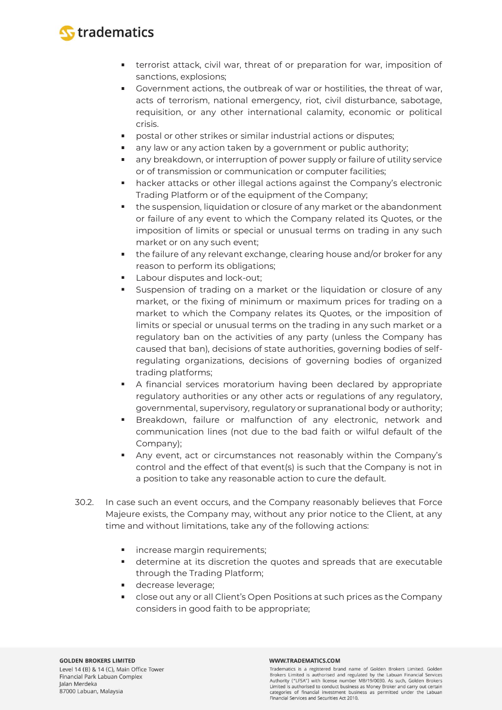

- **terrorist attack, civil war, threat of or preparation for war, imposition of** sanctions, explosions;
- Government actions, the outbreak of war or hostilities, the threat of war, acts of terrorism, national emergency, riot, civil disturbance, sabotage, requisition, or any other international calamity, economic or political crisis.
- postal or other strikes or similar industrial actions or disputes;
- **any law or any action taken by a government or public authority;**
- any breakdown, or interruption of power supply or failure of utility service or of transmission or communication or computer facilities;
- hacker attacks or other illegal actions against the Company's electronic Trading Platform or of the equipment of the Company;
- **the suspension, liquidation or closure of any market or the abandonment** or failure of any event to which the Company related its Quotes, or the imposition of limits or special or unusual terms on trading in any such market or on any such event;
- the failure of any relevant exchange, clearing house and/or broker for any reason to perform its obligations;
- **Labour disputes and lock-out;**
- Suspension of trading on a market or the liquidation or closure of any market, or the fixing of minimum or maximum prices for trading on a market to which the Company relates its Quotes, or the imposition of limits or special or unusual terms on the trading in any such market or a regulatory ban on the activities of any party (unless the Company has caused that ban), decisions of state authorities, governing bodies of selfregulating organizations, decisions of governing bodies of organized trading platforms;
- A financial services moratorium having been declared by appropriate regulatory authorities or any other acts or regulations of any regulatory, governmental, supervisory, regulatory or supranational body or authority;
- **Breakdown, failure or malfunction of any electronic, network and** communication lines (not due to the bad faith or wilful default of the Company);
- Any event, act or circumstances not reasonably within the Company's control and the effect of that event(s) is such that the Company is not in a position to take any reasonable action to cure the default.
- 30.2. In case such an event occurs, and the Company reasonably believes that Force Majeure exists, the Company may, without any prior notice to the Client, at any time and without limitations, take any of the following actions:
	- **·** increase margin requirements;
	- determine at its discretion the quotes and spreads that are executable through the Trading Platform;
	- **decrease leverage;**
	- close out any or all Client's Open Positions at such prices as the Company considers in good faith to be appropriate;

#### WWW.TRADEMATICS.COM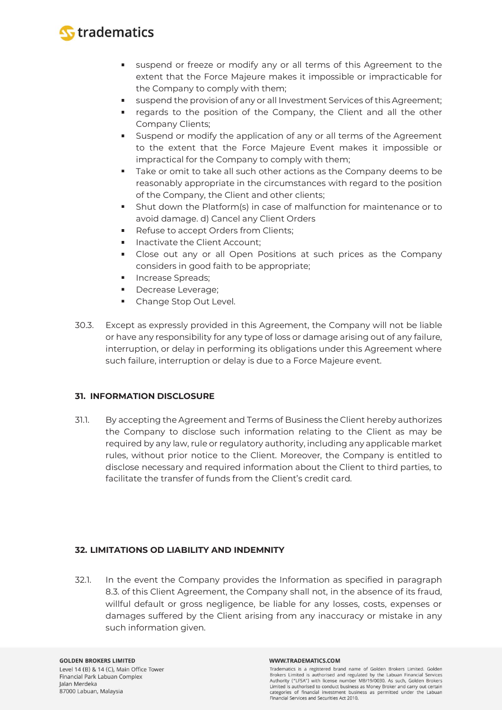

- suspend or freeze or modify any or all terms of this Agreement to the extent that the Force Majeure makes it impossible or impracticable for the Company to comply with them;
- suspend the provision of any or all Investment Services of this Agreement;
- **•** regards to the position of the Company, the Client and all the other Company Clients;
- **Suspend or modify the application of any or all terms of the Agreement** to the extent that the Force Majeure Event makes it impossible or impractical for the Company to comply with them;
- Take or omit to take all such other actions as the Company deems to be reasonably appropriate in the circumstances with regard to the position of the Company, the Client and other clients;
- **Shut down the Platform(s) in case of malfunction for maintenance or to** avoid damage. d) Cancel any Client Orders
- **Refuse to accept Orders from Clients;**
- Inactivate the Client Account;
- Close out any or all Open Positions at such prices as the Company considers in good faith to be appropriate;
- **Increase Spreads;**
- $\blacksquare$ Decrease Leverage;
- Change Stop Out Level.
- 30.3. Except as expressly provided in this Agreement, the Company will not be liable or have any responsibility for any type of loss or damage arising out of any failure, interruption, or delay in performing its obligations under this Agreement where such failure, interruption or delay is due to a Force Majeure event.

# **31. INFORMATION DISCLOSURE**

31.1. By accepting the Agreement and Terms of Business the Client hereby authorizes the Company to disclose such information relating to the Client as may be required by any law, rule or regulatory authority, including any applicable market rules, without prior notice to the Client. Moreover, the Company is entitled to disclose necessary and required information about the Client to third parties, to facilitate the transfer of funds from the Client's credit card.

# **32. LIMITATIONS OD LIABILITY AND INDEMNITY**

32.1. In the event the Company provides the Information as specified in paragraph 8.3. of this Client Agreement, the Company shall not, in the absence of its fraud, willful default or gross negligence, be liable for any losses, costs, expenses or damages suffered by the Client arising from any inaccuracy or mistake in any such information given.

#### WWW.TRADEMATICS.COM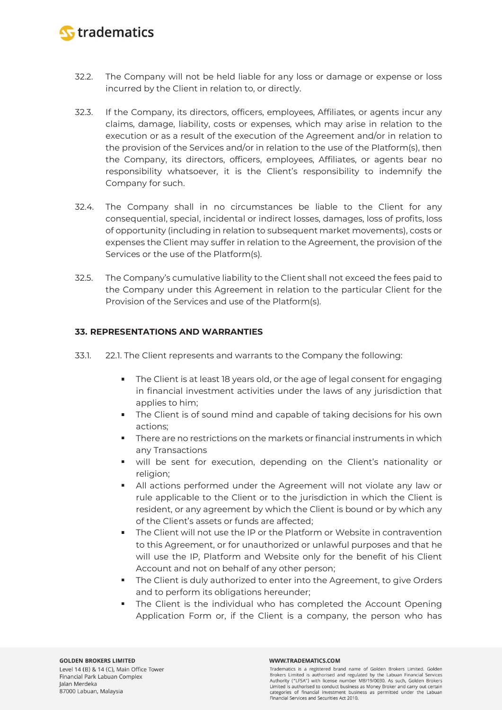

- 32.2. The Company will not be held liable for any loss or damage or expense or loss incurred by the Client in relation to, or directly.
- 32.3. If the Company, its directors, officers, employees, Affiliates, or agents incur any claims, damage, liability, costs or expenses, which may arise in relation to the execution or as a result of the execution of the Agreement and/or in relation to the provision of the Services and/or in relation to the use of the Platform(s), then the Company, its directors, officers, employees, Affiliates, or agents bear no responsibility whatsoever, it is the Client's responsibility to indemnify the Company for such.
- 32.4. The Company shall in no circumstances be liable to the Client for any consequential, special, incidental or indirect losses, damages, loss of profits, loss of opportunity (including in relation to subsequent market movements), costs or expenses the Client may suffer in relation to the Agreement, the provision of the Services or the use of the Platform(s).
- 32.5. The Company's cumulative liability to the Client shall not exceed the fees paid to the Company under this Agreement in relation to the particular Client for the Provision of the Services and use of the Platform(s).

### **33. REPRESENTATIONS AND WARRANTIES**

- 33.1. 22.1. The Client represents and warrants to the Company the following:
	- $\blacksquare$ The Client is at least 18 years old, or the age of legal consent for engaging in financial investment activities under the laws of any jurisdiction that applies to him;
	- **The Client is of sound mind and capable of taking decisions for his own** actions;
	- There are no restrictions on the markets or financial instruments in which any Transactions
	- will be sent for execution, depending on the Client's nationality or religion;
	- All actions performed under the Agreement will not violate any law or rule applicable to the Client or to the jurisdiction in which the Client is resident, or any agreement by which the Client is bound or by which any of the Client's assets or funds are affected;
	- The Client will not use the IP or the Platform or Website in contravention to this Agreement, or for unauthorized or unlawful purposes and that he will use the IP, Platform and Website only for the benefit of his Client Account and not on behalf of any other person;
	- **The Client is duly authorized to enter into the Agreement, to give Orders** and to perform its obligations hereunder;
	- The Client is the individual who has completed the Account Opening Application Form or, if the Client is a company, the person who has

#### WWW.TRADEMATICS.COM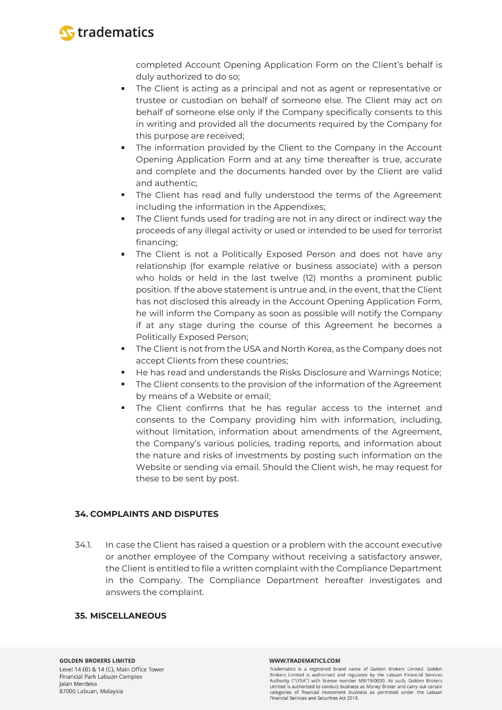

completed Account Opening Application Form on the Client's behalf is duly authorized to do so;

- The Client is acting as a principal and not as agent or representative or trustee or custodian on behalf of someone else. The Client may act on behalf of someone else only if the Company specifically consents to this in writing and provided all the documents required by the Company for this purpose are received;
- **The information provided by the Client to the Company in the Account** Opening Application Form and at any time thereafter is true, accurate and complete and the documents handed over by the Client are valid and authentic;
- The Client has read and fully understood the terms of the Agreement including the information in the Appendixes;
- The Client funds used for trading are not in any direct or indirect way the proceeds of any illegal activity or used or intended to be used for terrorist financing;
- The Client is not a Politically Exposed Person and does not have any relationship (for example relative or business associate) with a person who holds or held in the last twelve (12) months a prominent public position. If the above statement is untrue and, in the event, that the Client has not disclosed this already in the Account Opening Application Form, he will inform the Company as soon as possible will notify the Company if at any stage during the course of this Agreement he becomes a Politically Exposed Person;
- **The Client is not from the USA and North Korea, as the Company does not** accept Clients from these countries;
- He has read and understands the Risks Disclosure and Warnings Notice;
- The Client consents to the provision of the information of the Agreement by means of a Website or email;
- The Client confirms that he has regular access to the internet and consents to the Company providing him with information, including, without limitation, information about amendments of the Agreement, the Company's various policies, trading reports, and information about the nature and risks of investments by posting such information on the Website or sending via email. Should the Client wish, he may request for these to be sent by post.

# **34. COMPLAINTS AND DISPUTES**

34.1. In case the Client has raised a question or a problem with the account executive or another employee of the Company without receiving a satisfactory answer, the Client is entitled to file a written complaint with the Compliance Department in the Company. The Compliance Department hereafter investigates and answers the complaint.

### **35. MISCELLANEOUS**

#### WWW.TRADEMATICS.COM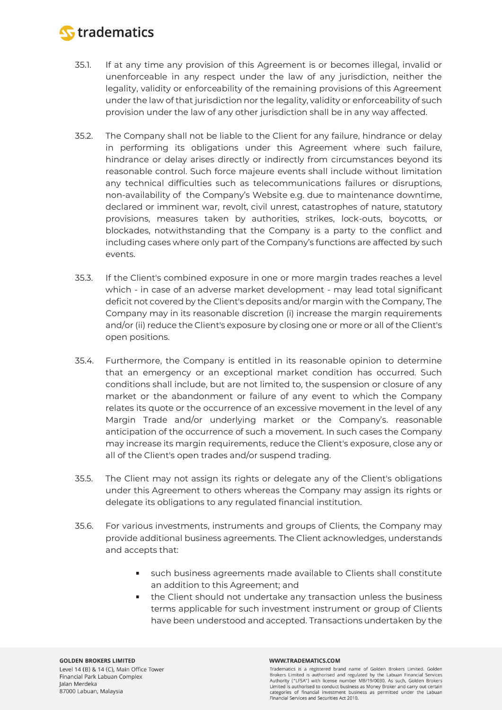

- 35.1. If at any time any provision of this Agreement is or becomes illegal, invalid or unenforceable in any respect under the law of any jurisdiction, neither the legality, validity or enforceability of the remaining provisions of this Agreement under the law of that jurisdiction nor the legality, validity or enforceability of such provision under the law of any other jurisdiction shall be in any way affected.
- 35.2. The Company shall not be liable to the Client for any failure, hindrance or delay in performing its obligations under this Agreement where such failure, hindrance or delay arises directly or indirectly from circumstances beyond its reasonable control. Such force majeure events shall include without limitation any technical difficulties such as telecommunications failures or disruptions, non-availability of the Company's Website e.g. due to maintenance downtime, declared or imminent war, revolt, civil unrest, catastrophes of nature, statutory provisions, measures taken by authorities, strikes, lock-outs, boycotts, or blockades, notwithstanding that the Company is a party to the conflict and including cases where only part of the Company's functions are affected by such events.
- 35.3. If the Client's combined exposure in one or more margin trades reaches a level which - in case of an adverse market development - may lead total significant deficit not covered by the Client's deposits and/or margin with the Company, The Company may in its reasonable discretion (i) increase the margin requirements and/or (ii) reduce the Client's exposure by closing one or more or all of the Client's open positions.
- 35.4. Furthermore, the Company is entitled in its reasonable opinion to determine that an emergency or an exceptional market condition has occurred. Such conditions shall include, but are not limited to, the suspension or closure of any market or the abandonment or failure of any event to which the Company relates its quote or the occurrence of an excessive movement in the level of any Margin Trade and/or underlying market or the Company's. reasonable anticipation of the occurrence of such a movement. In such cases the Company may increase its margin requirements, reduce the Client's exposure, close any or all of the Client's open trades and/or suspend trading.
- 35.5. The Client may not assign its rights or delegate any of the Client's obligations under this Agreement to others whereas the Company may assign its rights or delegate its obligations to any regulated financial institution.
- 35.6. For various investments, instruments and groups of Clients, the Company may provide additional business agreements. The Client acknowledges, understands and accepts that:
	- such business agreements made available to Clients shall constitute an addition to this Agreement; and
	- the Client should not undertake any transaction unless the business terms applicable for such investment instrument or group of Clients have been understood and accepted. Transactions undertaken by the

#### WWW.TRADEMATICS.COM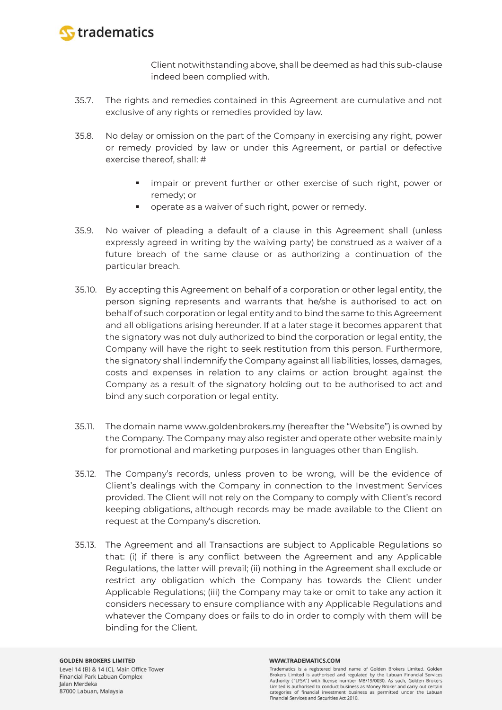

Client notwithstanding above, shall be deemed as had this sub-clause indeed been complied with.

- 35.7. The rights and remedies contained in this Agreement are cumulative and not exclusive of any rights or remedies provided by law.
- 35.8. No delay or omission on the part of the Company in exercising any right, power or remedy provided by law or under this Agreement, or partial or defective exercise thereof, shall: #
	- **I** impair or prevent further or other exercise of such right, power or remedy; or
	- operate as a waiver of such right, power or remedy.
- 35.9. No waiver of pleading a default of a clause in this Agreement shall (unless expressly agreed in writing by the waiving party) be construed as a waiver of a future breach of the same clause or as authorizing a continuation of the particular breach.
- 35.10. By accepting this Agreement on behalf of a corporation or other legal entity, the person signing represents and warrants that he/she is authorised to act on behalf of such corporation or legal entity and to bind the same to this Agreement and all obligations arising hereunder. If at a later stage it becomes apparent that the signatory was not duly authorized to bind the corporation or legal entity, the Company will have the right to seek restitution from this person. Furthermore, the signatory shall indemnify the Company against all liabilities, losses, damages, costs and expenses in relation to any claims or action brought against the Company as a result of the signatory holding out to be authorised to act and bind any such corporation or legal entity.
- 35.11. The domain name www.goldenbrokers.my (hereafter the "Website") is owned by the Company. The Company may also register and operate other website mainly for promotional and marketing purposes in languages other than English.
- 35.12. The Company's records, unless proven to be wrong, will be the evidence of Client's dealings with the Company in connection to the Investment Services provided. The Client will not rely on the Company to comply with Client's record keeping obligations, although records may be made available to the Client on request at the Company's discretion.
- 35.13. The Agreement and all Transactions are subject to Applicable Regulations so that: (i) if there is any conflict between the Agreement and any Applicable Regulations, the latter will prevail; (ii) nothing in the Agreement shall exclude or restrict any obligation which the Company has towards the Client under Applicable Regulations; (iii) the Company may take or omit to take any action it considers necessary to ensure compliance with any Applicable Regulations and whatever the Company does or fails to do in order to comply with them will be binding for the Client.

#### WWW.TRADEMATICS.COM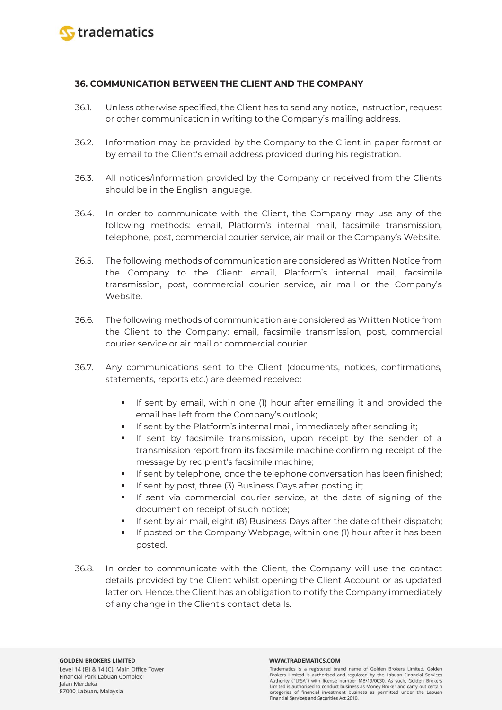

### **36. COMMUNICATION BETWEEN THE CLIENT AND THE COMPANY**

- 36.1. Unless otherwise specified, the Client has to send any notice, instruction, request or other communication in writing to the Company's mailing address.
- 36.2. Information may be provided by the Company to the Client in paper format or by email to the Client's email address provided during his registration.
- 36.3. All notices/information provided by the Company or received from the Clients should be in the English language.
- 36.4. In order to communicate with the Client, the Company may use any of the following methods: email, Platform's internal mail, facsimile transmission, telephone, post, commercial courier service, air mail or the Company's Website.
- 36.5. The following methods of communication are considered as Written Notice from the Company to the Client: email, Platform's internal mail, facsimile transmission, post, commercial courier service, air mail or the Company's Website.
- 36.6. The following methods of communication are considered as Written Notice from the Client to the Company: email, facsimile transmission, post, commercial courier service or air mail or commercial courier.
- 36.7. Any communications sent to the Client (documents, notices, confirmations, statements, reports etc.) are deemed received:
	- If sent by email, within one (1) hour after emailing it and provided the email has left from the Company's outlook;
	- If sent by the Platform's internal mail, immediately after sending it;
	- **If sent by facsimile transmission, upon receipt by the sender of a** transmission report from its facsimile machine confirming receipt of the message by recipient's facsimile machine;
	- **If sent by telephone, once the telephone conversation has been finished;**
	- **If sent by post, three (3) Business Days after posting it;**
	- If sent via commercial courier service, at the date of signing of the document on receipt of such notice;
	- If sent by air mail, eight (8) Business Days after the date of their dispatch;
	- If posted on the Company Webpage, within one (1) hour after it has been posted.
- 36.8. In order to communicate with the Client, the Company will use the contact details provided by the Client whilst opening the Client Account or as updated latter on. Hence, the Client has an obligation to notify the Company immediately of any change in the Client's contact details.

#### WWW.TRADEMATICS.COM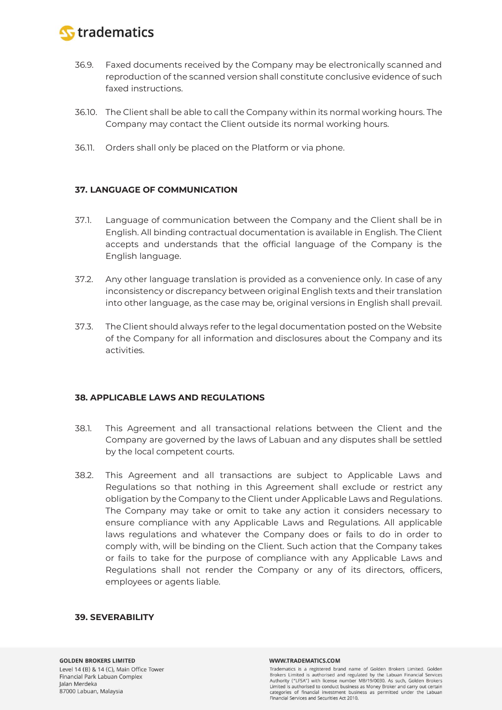

- 36.9. Faxed documents received by the Company may be electronically scanned and reproduction of the scanned version shall constitute conclusive evidence of such faxed instructions.
- 36.10. The Client shall be able to call the Company within its normal working hours. The Company may contact the Client outside its normal working hours.
- 36.11. Orders shall only be placed on the Platform or via phone.

# **37. LANGUAGE OF COMMUNICATION**

- 37.1. Language of communication between the Company and the Client shall be in English. All binding contractual documentation is available in English. The Client accepts and understands that the official language of the Company is the English language.
- 37.2. Any other language translation is provided as a convenience only. In case of any inconsistency or discrepancy between original English texts and their translation into other language, as the case may be, original versions in English shall prevail.
- 37.3. The Client should always refer to the legal documentation posted on the Website of the Company for all information and disclosures about the Company and its activities.

# **38. APPLICABLE LAWS AND REGULATIONS**

- 38.1. This Agreement and all transactional relations between the Client and the Company are governed by the laws of Labuan and any disputes shall be settled by the local competent courts.
- 38.2. This Agreement and all transactions are subject to Applicable Laws and Regulations so that nothing in this Agreement shall exclude or restrict any obligation by the Company to the Client under Applicable Laws and Regulations. The Company may take or omit to take any action it considers necessary to ensure compliance with any Applicable Laws and Regulations. All applicable laws regulations and whatever the Company does or fails to do in order to comply with, will be binding on the Client. Such action that the Company takes or fails to take for the purpose of compliance with any Applicable Laws and Regulations shall not render the Company or any of its directors, officers, employees or agents liable.

### **39. SEVERABILITY**

#### WWW.TRADEMATICS.COM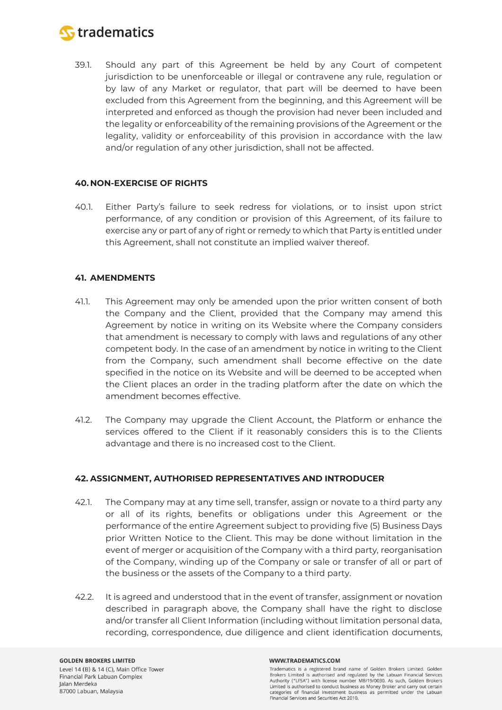

39.1. Should any part of this Agreement be held by any Court of competent jurisdiction to be unenforceable or illegal or contravene any rule, regulation or by law of any Market or regulator, that part will be deemed to have been excluded from this Agreement from the beginning, and this Agreement will be interpreted and enforced as though the provision had never been included and the legality or enforceability of the remaining provisions of the Agreement or the legality, validity or enforceability of this provision in accordance with the law and/or regulation of any other jurisdiction, shall not be affected.

### **40. NON-EXERCISE OF RIGHTS**

40.1. Either Party's failure to seek redress for violations, or to insist upon strict performance, of any condition or provision of this Agreement, of its failure to exercise any or part of any of right or remedy to which that Party is entitled under this Agreement, shall not constitute an implied waiver thereof.

### **41. AMENDMENTS**

- 41.1. This Agreement may only be amended upon the prior written consent of both the Company and the Client, provided that the Company may amend this Agreement by notice in writing on its Website where the Company considers that amendment is necessary to comply with laws and regulations of any other competent body. In the case of an amendment by notice in writing to the Client from the Company, such amendment shall become effective on the date specified in the notice on its Website and will be deemed to be accepted when the Client places an order in the trading platform after the date on which the amendment becomes effective.
- 41.2. The Company may upgrade the Client Account, the Platform or enhance the services offered to the Client if it reasonably considers this is to the Clients advantage and there is no increased cost to the Client.

### **42. ASSIGNMENT, AUTHORISED REPRESENTATIVES AND INTRODUCER**

- 42.1. The Company may at any time sell, transfer, assign or novate to a third party any or all of its rights, benefits or obligations under this Agreement or the performance of the entire Agreement subject to providing five (5) Business Days prior Written Notice to the Client. This may be done without limitation in the event of merger or acquisition of the Company with a third party, reorganisation of the Company, winding up of the Company or sale or transfer of all or part of the business or the assets of the Company to a third party.
- 42.2. It is agreed and understood that in the event of transfer, assignment or novation described in paragraph above, the Company shall have the right to disclose and/or transfer all Client Information (including without limitation personal data, recording, correspondence, due diligence and client identification documents,

#### WWW.TRADEMATICS.COM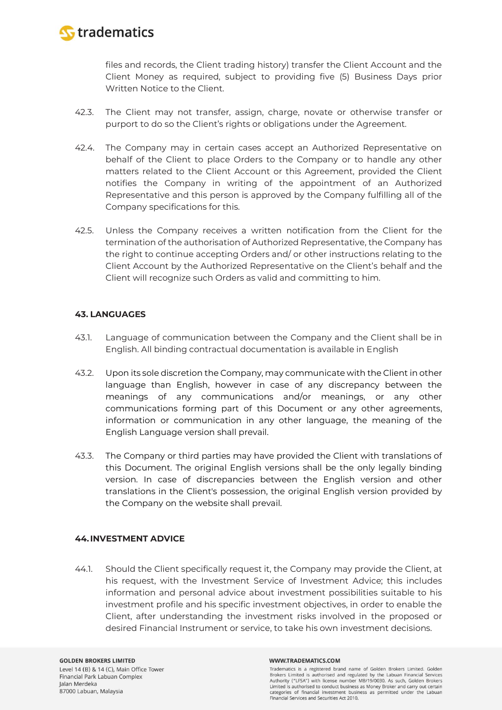

files and records, the Client trading history) transfer the Client Account and the Client Money as required, subject to providing five (5) Business Days prior Written Notice to the Client.

- 42.3. The Client may not transfer, assign, charge, novate or otherwise transfer or purport to do so the Client's rights or obligations under the Agreement.
- 42.4. The Company may in certain cases accept an Authorized Representative on behalf of the Client to place Orders to the Company or to handle any other matters related to the Client Account or this Agreement, provided the Client notifies the Company in writing of the appointment of an Authorized Representative and this person is approved by the Company fulfilling all of the Company specifications for this.
- 42.5. Unless the Company receives a written notification from the Client for the termination of the authorisation of Authorized Representative, the Company has the right to continue accepting Orders and/ or other instructions relating to the Client Account by the Authorized Representative on the Client's behalf and the Client will recognize such Orders as valid and committing to him.

# **43. LANGUAGES**

- 43.1. Language of communication between the Company and the Client shall be in English. All binding contractual documentation is available in English
- 43.2. Upon its sole discretion the Company, may communicate with the Client in other language than English, however in case of any discrepancy between the meanings of any communications and/or meanings, or any other communications forming part of this Document or any other agreements, information or communication in any other language, the meaning of the English Language version shall prevail.
- 43.3. The Company or third parties may have provided the Client with translations of this Document. The original English versions shall be the only legally binding version. In case of discrepancies between the English version and other translations in the Client's possession, the original English version provided by the Company on the website shall prevail.

### **44.INVESTMENT ADVICE**

44.1. Should the Client specifically request it, the Company may provide the Client, at his request, with the Investment Service of Investment Advice; this includes information and personal advice about investment possibilities suitable to his investment profile and his specific investment objectives, in order to enable the Client, after understanding the investment risks involved in the proposed or desired Financial Instrument or service, to take his own investment decisions.

#### WWW.TRADEMATICS.COM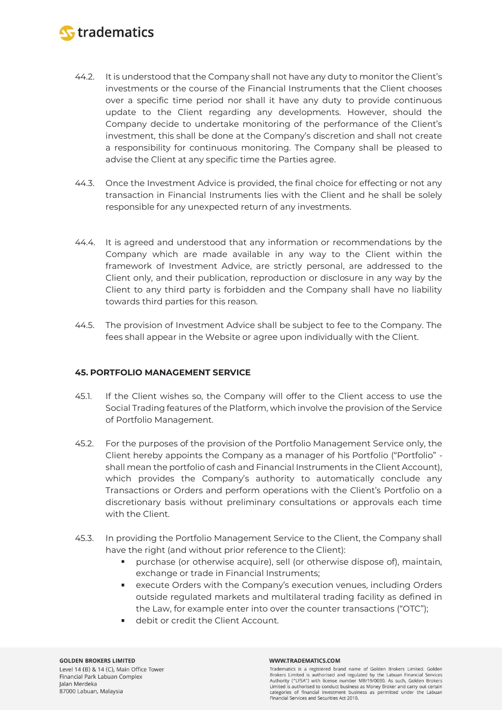

- 44.2. It is understood that the Company shall not have any duty to monitor the Client's investments or the course of the Financial Instruments that the Client chooses over a specific time period nor shall it have any duty to provide continuous update to the Client regarding any developments. However, should the Company decide to undertake monitoring of the performance of the Client's investment, this shall be done at the Company's discretion and shall not create a responsibility for continuous monitoring. The Company shall be pleased to advise the Client at any specific time the Parties agree.
- 44.3. Once the Investment Advice is provided, the final choice for effecting or not any transaction in Financial Instruments lies with the Client and he shall be solely responsible for any unexpected return of any investments.
- 44.4. It is agreed and understood that any information or recommendations by the Company which are made available in any way to the Client within the framework of Investment Advice, are strictly personal, are addressed to the Client only, and their publication, reproduction or disclosure in any way by the Client to any third party is forbidden and the Company shall have no liability towards third parties for this reason.
- 44.5. The provision of Investment Advice shall be subject to fee to the Company. The fees shall appear in the Website or agree upon individually with the Client.

# **45. PORTFOLIO MANAGEMENT SERVICE**

- 45.1. If the Client wishes so, the Company will offer to the Client access to use the Social Trading features of the Platform, which involve the provision of the Service of Portfolio Management.
- 45.2. For the purposes of the provision of the Portfolio Management Service only, the Client hereby appoints the Company as a manager of his Portfolio ("Portfolio" shall mean the portfolio of cash and Financial Instruments in the Client Account), which provides the Company's authority to automatically conclude any Transactions or Orders and perform operations with the Client's Portfolio on a discretionary basis without preliminary consultations or approvals each time with the Client.
- 45.3. In providing the Portfolio Management Service to the Client, the Company shall have the right (and without prior reference to the Client):
	- purchase (or otherwise acquire), sell (or otherwise dispose of), maintain, exchange or trade in Financial Instruments;
	- execute Orders with the Company's execution venues, including Orders outside regulated markets and multilateral trading facility as defined in the Law, for example enter into over the counter transactions ("OTC");
	- debit or credit the Client Account.

#### WWW.TRADEMATICS.COM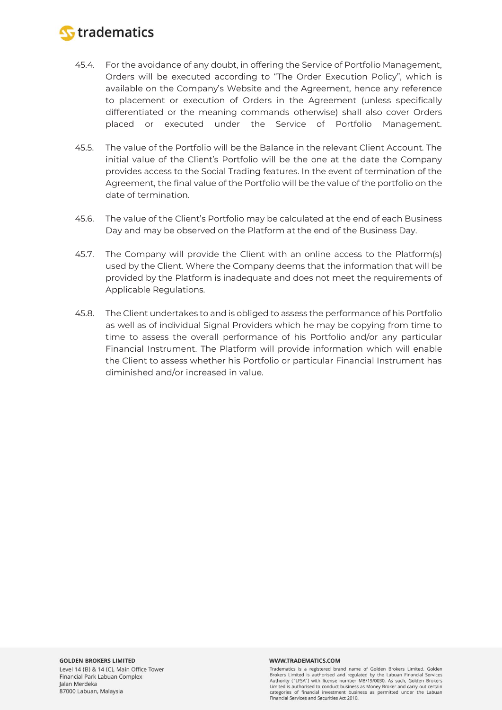

- 45.4. For the avoidance of any doubt, in offering the Service of Portfolio Management, Orders will be executed according to "The Order Execution Policy", which is available on the Company's Website and the Agreement, hence any reference to placement or execution of Orders in the Agreement (unless specifically differentiated or the meaning commands otherwise) shall also cover Orders placed or executed under the Service of Portfolio Management.
- 45.5. The value of the Portfolio will be the Balance in the relevant Client Account. The initial value of the Client's Portfolio will be the one at the date the Company provides access to the Social Trading features. In the event of termination of the Agreement, the final value of the Portfolio will be the value of the portfolio on the date of termination.
- 45.6. The value of the Client's Portfolio may be calculated at the end of each Business Day and may be observed on the Platform at the end of the Business Day.
- 45.7. The Company will provide the Client with an online access to the Platform(s) used by the Client. Where the Company deems that the information that will be provided by the Platform is inadequate and does not meet the requirements of Applicable Regulations.
- 45.8. The Client undertakes to and is obliged to assess the performance of his Portfolio as well as of individual Signal Providers which he may be copying from time to time to assess the overall performance of his Portfolio and/or any particular Financial Instrument. The Platform will provide information which will enable the Client to assess whether his Portfolio or particular Financial Instrument has diminished and/or increased in value.

Tradematics is a registered brand name of Golden Brokers Limited. Golden Brokers Limited is authorised and regulated by the Labuan Financial Services Authority ("LFSA") with license number MB/19/0030. As such, Golden Brokers Limited is authorised to conduct business as Money Broker and carry out certain categories of financial investment business as permitted under the Labuan Financial Services and Securities Act 2010.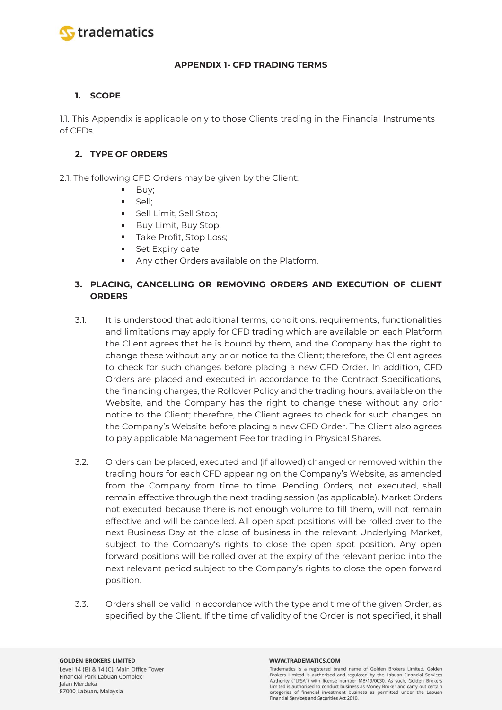

### **APPENDIX 1- CFD TRADING TERMS**

# **1. SCOPE**

1.1. This Appendix is applicable only to those Clients trading in the Financial Instruments of CFDs.

# **2. TYPE OF ORDERS**

2.1. The following CFD Orders may be given by the Client:

- Buy;
- Sell;
- Sell Limit, Sell Stop;
- **Buy Limit, Buy Stop;**
- Take Profit, Stop Loss;
- Set Expiry date
- **Any other Orders available on the Platform.**

# **3. PLACING, CANCELLING OR REMOVING ORDERS AND EXECUTION OF CLIENT ORDERS**

- 3.1. It is understood that additional terms, conditions, requirements, functionalities and limitations may apply for CFD trading which are available on each Platform the Client agrees that he is bound by them, and the Company has the right to change these without any prior notice to the Client; therefore, the Client agrees to check for such changes before placing a new CFD Order. In addition, CFD Orders are placed and executed in accordance to the Contract Specifications, the financing charges, the Rollover Policy and the trading hours, available on the Website, and the Company has the right to change these without any prior notice to the Client; therefore, the Client agrees to check for such changes on the Company's Website before placing a new CFD Order. The Client also agrees to pay applicable Management Fee for trading in Physical Shares.
- 3.2. Orders can be placed, executed and (if allowed) changed or removed within the trading hours for each CFD appearing on the Company's Website, as amended from the Company from time to time. Pending Orders, not executed, shall remain effective through the next trading session (as applicable). Market Orders not executed because there is not enough volume to fill them, will not remain effective and will be cancelled. All open spot positions will be rolled over to the next Business Day at the close of business in the relevant Underlying Market, subject to the Company's rights to close the open spot position. Any open forward positions will be rolled over at the expiry of the relevant period into the next relevant period subject to the Company's rights to close the open forward position.
- 3.3. Orders shall be valid in accordance with the type and time of the given Order, as specified by the Client. If the time of validity of the Order is not specified, it shall

#### WWW.TRADEMATICS.COM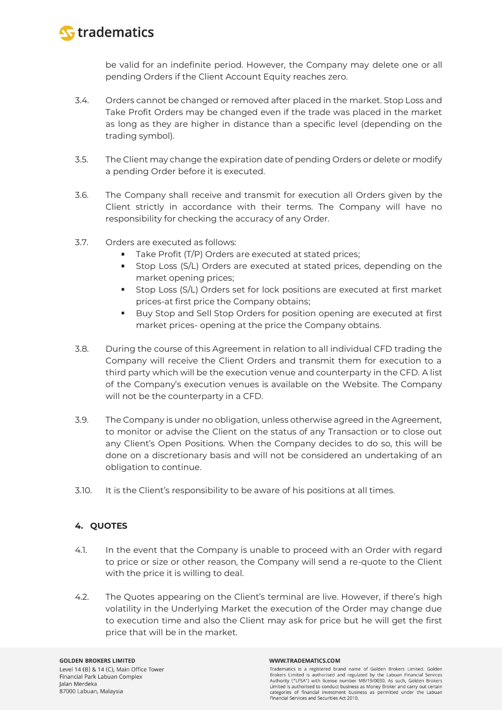

be valid for an indefinite period. However, the Company may delete one or all pending Orders if the Client Account Equity reaches zero.

- 3.4. Orders cannot be changed or removed after placed in the market. Stop Loss and Take Profit Orders may be changed even if the trade was placed in the market as long as they are higher in distance than a specific level (depending on the trading symbol).
- 3.5. The Client may change the expiration date of pending Orders or delete or modify a pending Order before it is executed.
- 3.6. The Company shall receive and transmit for execution all Orders given by the Client strictly in accordance with their terms. The Company will have no responsibility for checking the accuracy of any Order.
- 3.7. Orders are executed as follows:
	- Take Profit (T/P) Orders are executed at stated prices;
	- **Stop Loss (S/L) Orders are executed at stated prices, depending on the** market opening prices;
	- **Stop Loss (S/L) Orders set for lock positions are executed at first market** prices-at first price the Company obtains;
	- Buy Stop and Sell Stop Orders for position opening are executed at first market prices- opening at the price the Company obtains.
- 3.8. During the course of this Agreement in relation to all individual CFD trading the Company will receive the Client Orders and transmit them for execution to a third party which will be the execution venue and counterparty in the CFD. A list of the Company's execution venues is available on the Website. The Company will not be the counterparty in a CFD.
- 3.9. The Company is under no obligation, unless otherwise agreed in the Agreement, to monitor or advise the Client on the status of any Transaction or to close out any Client's Open Positions. When the Company decides to do so, this will be done on a discretionary basis and will not be considered an undertaking of an obligation to continue.
- 3.10. It is the Client's responsibility to be aware of his positions at all times.

# **4. QUOTES**

- 4.1. In the event that the Company is unable to proceed with an Order with regard to price or size or other reason, the Company will send a re-quote to the Client with the price it is willing to deal.
- 4.2. The Quotes appearing on the Client's terminal are live. However, if there's high volatility in the Underlying Market the execution of the Order may change due to execution time and also the Client may ask for price but he will get the first price that will be in the market.

#### WWW.TRADEMATICS.COM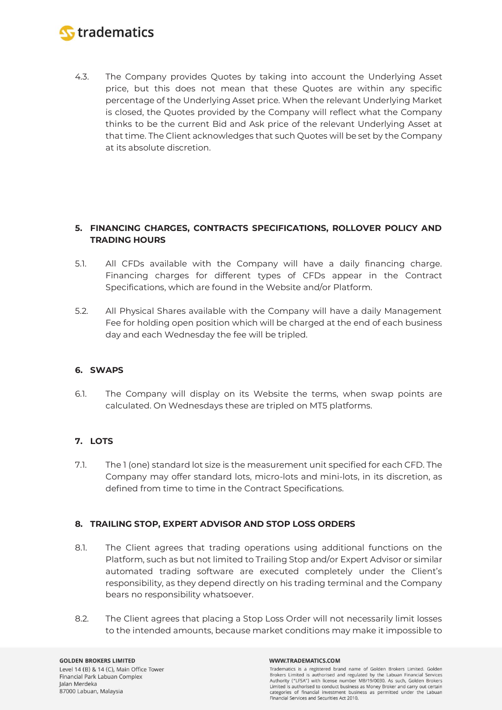

4.3. The Company provides Quotes by taking into account the Underlying Asset price, but this does not mean that these Quotes are within any specific percentage of the Underlying Asset price. When the relevant Underlying Market is closed, the Quotes provided by the Company will reflect what the Company thinks to be the current Bid and Ask price of the relevant Underlying Asset at that time. The Client acknowledges that such Quotes will be set by the Company at its absolute discretion.

# **5. FINANCING CHARGES, CONTRACTS SPECIFICATIONS, ROLLOVER POLICY AND TRADING HOURS**

- 5.1. All CFDs available with the Company will have a daily financing charge. Financing charges for different types of CFDs appear in the Contract Specifications, which are found in the Website and/or Platform.
- 5.2. All Physical Shares available with the Company will have a daily Management Fee for holding open position which will be charged at the end of each business day and each Wednesday the fee will be tripled.

# **6. SWAPS**

6.1. The Company will display on its Website the terms, when swap points are calculated. On Wednesdays these are tripled on MT5 platforms.

# **7. LOTS**

7.1. The 1 (one) standard lot size is the measurement unit specified for each CFD. The Company may offer standard lots, micro-lots and mini-lots, in its discretion, as defined from time to time in the Contract Specifications.

# **8. TRAILING STOP, EXPERT ADVISOR AND STOP LOSS ORDERS**

- 8.1. The Client agrees that trading operations using additional functions on the Platform, such as but not limited to Trailing Stop and/or Expert Advisor or similar automated trading software are executed completely under the Client's responsibility, as they depend directly on his trading terminal and the Company bears no responsibility whatsoever.
- 8.2. The Client agrees that placing a Stop Loss Order will not necessarily limit losses to the intended amounts, because market conditions may make it impossible to

#### WWW.TRADEMATICS.COM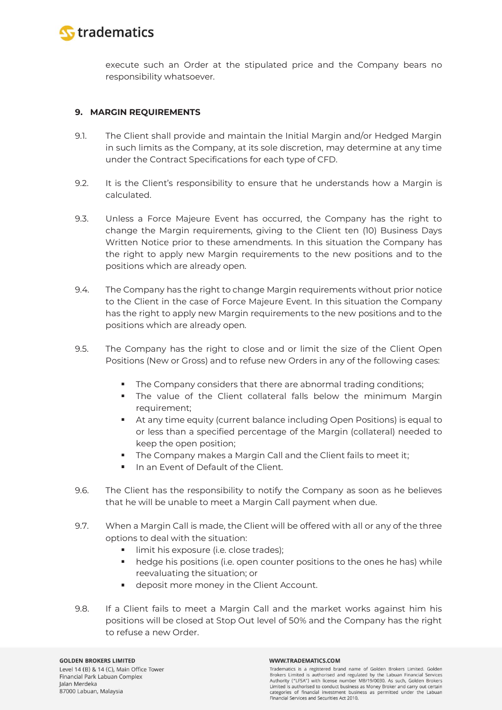

execute such an Order at the stipulated price and the Company bears no responsibility whatsoever.

### **9. MARGIN REQUIREMENTS**

- 9.1. The Client shall provide and maintain the Initial Margin and/or Hedged Margin in such limits as the Company, at its sole discretion, may determine at any time under the Contract Specifications for each type of CFD.
- 9.2. It is the Client's responsibility to ensure that he understands how a Margin is calculated.
- 9.3. Unless a Force Majeure Event has occurred, the Company has the right to change the Margin requirements, giving to the Client ten (10) Business Days Written Notice prior to these amendments. In this situation the Company has the right to apply new Margin requirements to the new positions and to the positions which are already open.
- 9.4. The Company has the right to change Margin requirements without prior notice to the Client in the case of Force Majeure Event. In this situation the Company has the right to apply new Margin requirements to the new positions and to the positions which are already open.
- 9.5. The Company has the right to close and or limit the size of the Client Open Positions (New or Gross) and to refuse new Orders in any of the following cases:
	- $\blacksquare$ The Company considers that there are abnormal trading conditions;
	- The value of the Client collateral falls below the minimum Margin requirement;
	- At any time equity (current balance including Open Positions) is equal to or less than a specified percentage of the Margin (collateral) needed to keep the open position;
	- The Company makes a Margin Call and the Client fails to meet it;
	- In an Event of Default of the Client.
- 9.6. The Client has the responsibility to notify the Company as soon as he believes that he will be unable to meet a Margin Call payment when due.
- 9.7. When a Margin Call is made, the Client will be offered with all or any of the three options to deal with the situation:
	- limit his exposure (i.e. close trades);
	- hedge his positions (i.e. open counter positions to the ones he has) while reevaluating the situation; or
	- deposit more money in the Client Account.
- 9.8. If a Client fails to meet a Margin Call and the market works against him his positions will be closed at Stop Out level of 50% and the Company has the right to refuse a new Order.

#### WWW.TRADEMATICS.COM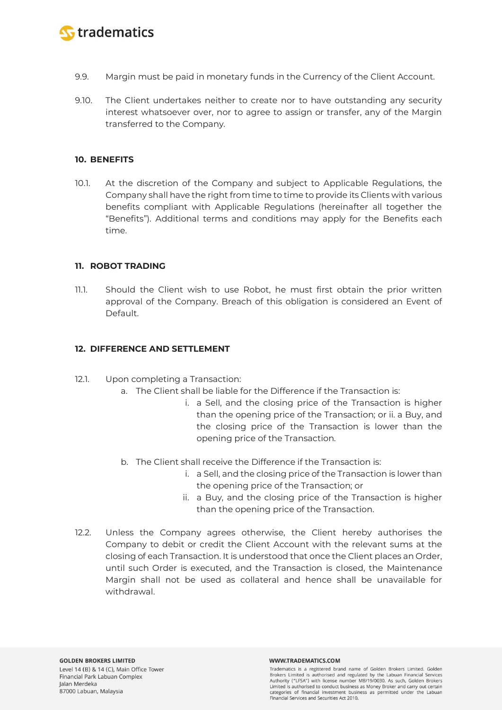

- 9.9. Margin must be paid in monetary funds in the Currency of the Client Account.
- 9.10. The Client undertakes neither to create nor to have outstanding any security interest whatsoever over, nor to agree to assign or transfer, any of the Margin transferred to the Company.

### **10. BENEFITS**

10.1. At the discretion of the Company and subject to Applicable Regulations, the Company shall have the right from time to time to provide its Clients with various benefits compliant with Applicable Regulations (hereinafter all together the "Benefits"). Additional terms and conditions may apply for the Benefits each time.

### **11. ROBOT TRADING**

11.1. Should the Client wish to use Robot, he must first obtain the prior written approval of the Company. Breach of this obligation is considered an Event of Default.

### **12. DIFFERENCE AND SETTLEMENT**

- 12.1. Upon completing a Transaction:
	- a. The Client shall be liable for the Difference if the Transaction is:
		- i. a Sell, and the closing price of the Transaction is higher than the opening price of the Transaction; or ii. a Buy, and the closing price of the Transaction is lower than the opening price of the Transaction.
	- b. The Client shall receive the Difference if the Transaction is:
		- i. a Sell, and the closing price of the Transaction is lower than the opening price of the Transaction; or
		- ii. a Buy, and the closing price of the Transaction is higher than the opening price of the Transaction.
- 12.2. Unless the Company agrees otherwise, the Client hereby authorises the Company to debit or credit the Client Account with the relevant sums at the closing of each Transaction. It is understood that once the Client places an Order, until such Order is executed, and the Transaction is closed, the Maintenance Margin shall not be used as collateral and hence shall be unavailable for withdrawal.

#### WWW.TRADEMATICS.COM

Tradematics is a registered brand name of Golden Brokers Limited. Golden Brokers Limited is authorised and regulated by the Labuan Financial Services Authority ("LFSA") with license number MB/19/0030. As such, Golden Brokers Limited is authorised to conduct business as Money Broker and carry out certain categories of financial investment business as permitted under the Labuan Financial Services and Securities Act 2010.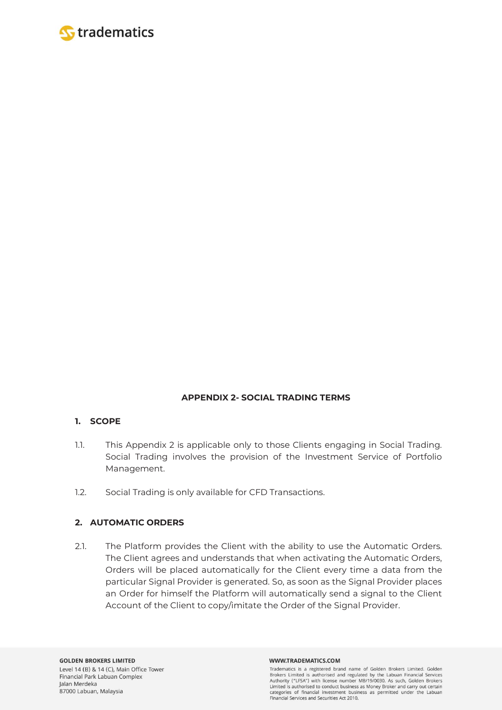

# **APPENDIX 2- SOCIAL TRADING TERMS**

# **1. SCOPE**

- 1.1. This Appendix 2 is applicable only to those Clients engaging in Social Trading. Social Trading involves the provision of the Investment Service of Portfolio Management.
- 1.2. Social Trading is only available for CFD Transactions.

# **2. AUTOMATIC ORDERS**

2.1. The Platform provides the Client with the ability to use the Automatic Orders. The Client agrees and understands that when activating the Automatic Orders, Orders will be placed automatically for the Client every time a data from the particular Signal Provider is generated. So, as soon as the Signal Provider places an Order for himself the Platform will automatically send a signal to the Client Account of the Client to copy/imitate the Order of the Signal Provider.

#### WWW.TRADEMATICS.COM